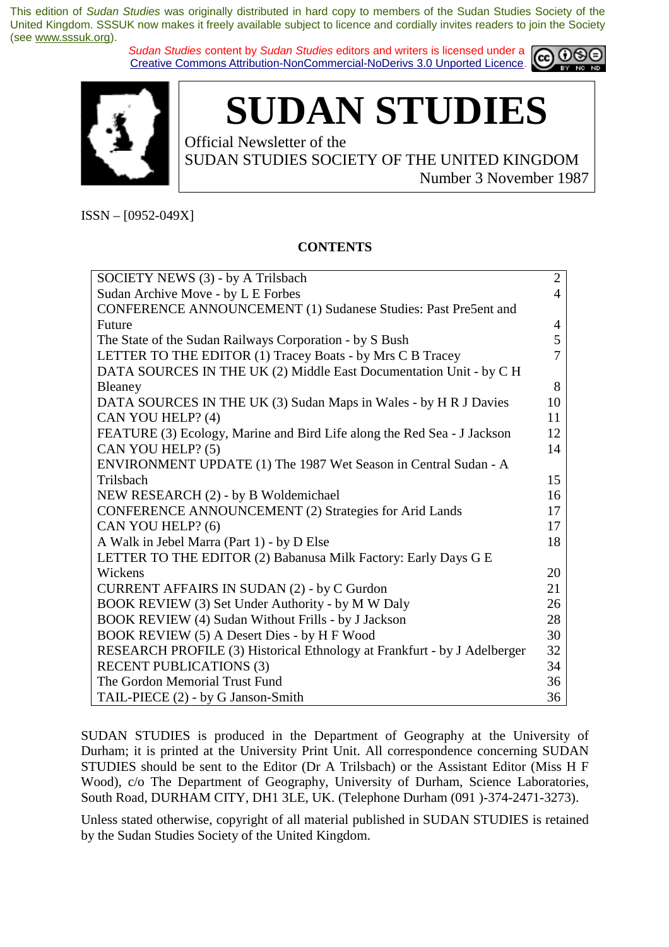*Sudan Studies* content by *Sudan Studies* editors and writers is licensed under a Creative Commons Attribution-NonCommercial-NoDerivs 3.0 Unported Licence.





**SUDAN STUDIES** 

Official Newsletter of the SUDAN STUDIES SOCIETY OF THE UNITED KINGDOM Number 3 November 1987

ISSN – [0952-049X]

#### **CONTENTS**

| SOCIETY NEWS (3) - by A Trilsbach                                        | $\overline{2}$ |
|--------------------------------------------------------------------------|----------------|
| Sudan Archive Move - by L E Forbes                                       | 4              |
| CONFERENCE ANNOUNCEMENT (1) Sudanese Studies: Past Pre5ent and           |                |
| Future                                                                   | 4              |
| The State of the Sudan Railways Corporation - by S Bush                  | 5              |
| LETTER TO THE EDITOR (1) Tracey Boats - by Mrs C B Tracey                | 7              |
| DATA SOURCES IN THE UK (2) Middle East Documentation Unit - by C H       |                |
| Bleaney                                                                  | 8              |
| DATA SOURCES IN THE UK (3) Sudan Maps in Wales - by H R J Davies         | 10             |
| CAN YOU HELP? (4)                                                        | 11             |
| FEATURE (3) Ecology, Marine and Bird Life along the Red Sea - J Jackson  | 12             |
| CAN YOU HELP? (5)                                                        | 14             |
| ENVIRONMENT UPDATE (1) The 1987 Wet Season in Central Sudan - A          |                |
| Trilsbach                                                                | 15             |
| NEW RESEARCH (2) - by B Woldemichael                                     | 16             |
| <b>CONFERENCE ANNOUNCEMENT (2) Strategies for Arid Lands</b>             |                |
| CAN YOU HELP? (6)                                                        | 17             |
| A Walk in Jebel Marra (Part 1) - by D Else                               | 18             |
| LETTER TO THE EDITOR (2) Babanusa Milk Factory: Early Days G E           |                |
| Wickens                                                                  | 20             |
| <b>CURRENT AFFAIRS IN SUDAN (2) - by C Gurdon</b>                        | 21             |
| BOOK REVIEW (3) Set Under Authority - by M W Daly                        | 26             |
| BOOK REVIEW (4) Sudan Without Frills - by J Jackson                      | 28             |
| BOOK REVIEW (5) A Desert Dies - by H F Wood                              | 30             |
| RESEARCH PROFILE (3) Historical Ethnology at Frankfurt - by J Adelberger | 32             |
| <b>RECENT PUBLICATIONS (3)</b>                                           | 34             |
| The Gordon Memorial Trust Fund                                           | 36             |
| TAIL-PIECE (2) - by G Janson-Smith                                       | 36             |

SUDAN STUDIES is produced in the Department of Geography at the University of Durham; it is printed at the University Print Unit. All correspondence concerning SUDAN STUDIES should be sent to the Editor (Dr A Trilsbach) or the Assistant Editor (Miss H F Wood), c/o The Department of Geography, University of Durham, Science Laboratories, South Road, DURHAM CITY, DH1 3LE, UK. (Telephone Durham (091 )-374-2471-3273).

Unless stated otherwise, copyright of all material published in SUDAN STUDIES is retained by the Sudan Studies Society of the United Kingdom.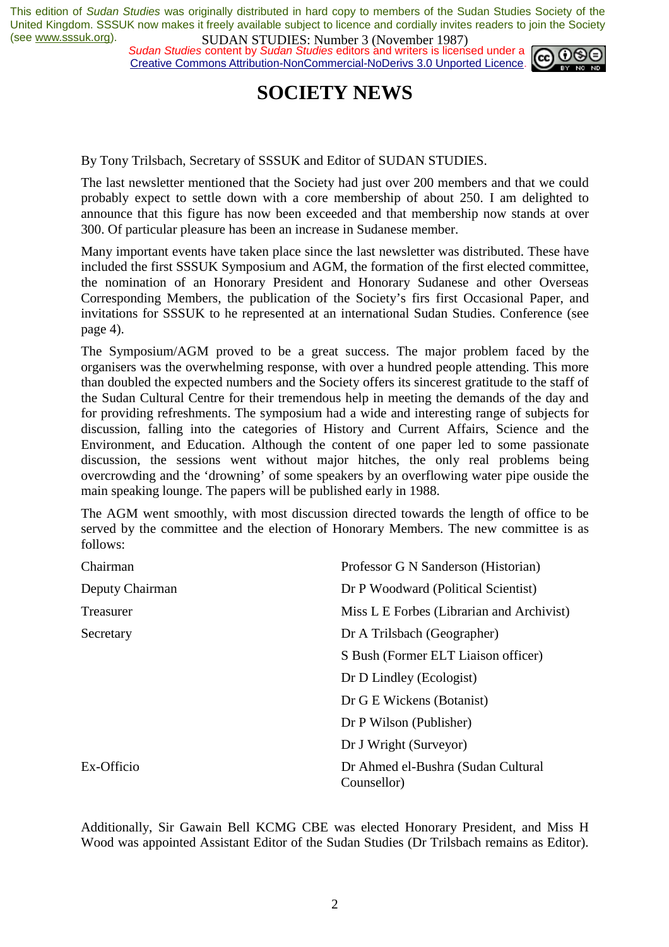*Sudan Studies content by Sudan Studies editors and writers is licensed under a* Creative Commons Attribution-NonCommercial-NoDerivs 3.0 Unported Licence.



### **SOCIETY NEWS**

By Tony Trilsbach, Secretary of SSSUK and Editor of SUDAN STUDIES.

The last newsletter mentioned that the Society had just over 200 members and that we could probably expect to settle down with a core membership of about 250. I am delighted to announce that this figure has now been exceeded and that membership now stands at over 300. Of particular pleasure has been an increase in Sudanese member.

Many important events have taken place since the last newsletter was distributed. These have included the first SSSUK Symposium and AGM, the formation of the first elected committee, the nomination of an Honorary President and Honorary Sudanese and other Overseas Corresponding Members, the publication of the Society's firs first Occasional Paper, and invitations for SSSUK to he represented at an international Sudan Studies. Conference (see page 4).

The Symposium/AGM proved to be a great success. The major problem faced by the organisers was the overwhelming response, with over a hundred people attending. This more than doubled the expected numbers and the Society offers its sincerest gratitude to the staff of the Sudan Cultural Centre for their tremendous help in meeting the demands of the day and for providing refreshments. The symposium had a wide and interesting range of subjects for discussion, falling into the categories of History and Current Affairs, Science and the Environment, and Education. Although the content of one paper led to some passionate discussion, the sessions went without major hitches, the only real problems being overcrowding and the 'drowning' of some speakers by an overflowing water pipe ouside the main speaking lounge. The papers will be published early in 1988.

The AGM went smoothly, with most discussion directed towards the length of office to be served by the committee and the election of Honorary Members. The new committee is as follows:

| Chairman        | Professor G N Sanderson (Historian)               |
|-----------------|---------------------------------------------------|
| Deputy Chairman | Dr P Woodward (Political Scientist)               |
| Treasurer       | Miss L E Forbes (Librarian and Archivist)         |
| Secretary       | Dr A Trilsbach (Geographer)                       |
|                 | S Bush (Former ELT Liaison officer)               |
|                 | Dr D Lindley (Ecologist)                          |
|                 | Dr G E Wickens (Botanist)                         |
|                 | Dr P Wilson (Publisher)                           |
|                 | Dr J Wright (Surveyor)                            |
| Ex-Officio      | Dr Ahmed el-Bushra (Sudan Cultural<br>Counsellor) |

Additionally, Sir Gawain Bell KCMG CBE was elected Honorary President, and Miss H Wood was appointed Assistant Editor of the Sudan Studies (Dr Trilsbach remains as Editor).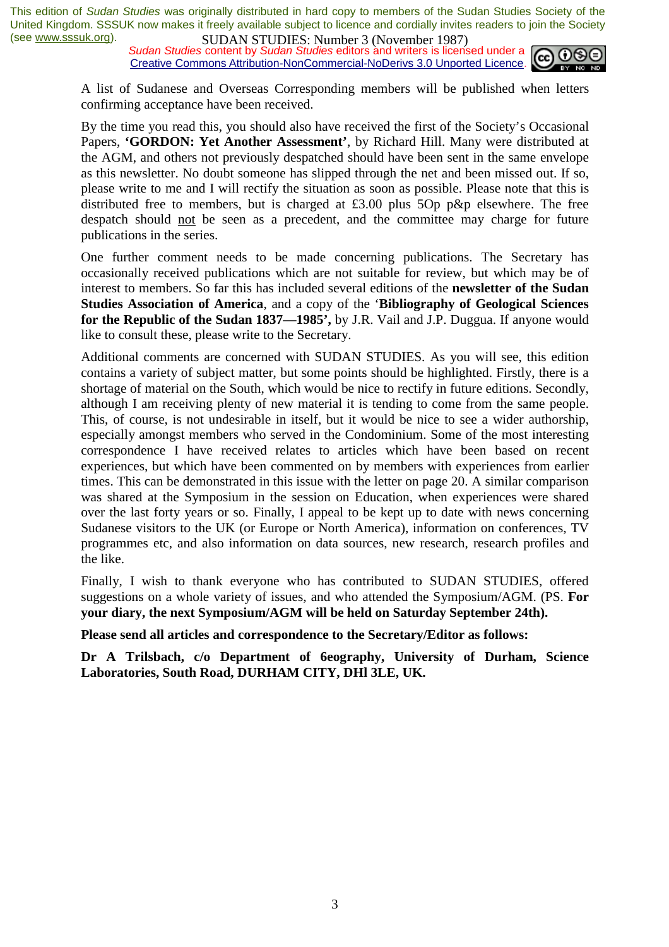*Sudan Studies content by Sudan Studies editors and writers is licensed under a* Creative Commons Attribution-NonCommercial-NoDerivs 3.0 Unported Licence.



A list of Sudanese and Overseas Corresponding members will be published when letters confirming acceptance have been received.

By the time you read this, you should also have received the first of the Society's Occasional Papers, **'GORDON: Yet Another Assessment'**, by Richard Hill. Many were distributed at the AGM, and others not previously despatched should have been sent in the same envelope as this newsletter. No doubt someone has slipped through the net and been missed out. If so, please write to me and I will rectify the situation as soon as possible. Please note that this is distributed free to members, but is charged at  $£3.00$  plus  $5Op$  p&p elsewhere. The free despatch should not be seen as a precedent, and the committee may charge for future publications in the series.

One further comment needs to be made concerning publications. The Secretary has occasionally received publications which are not suitable for review, but which may be of interest to members. So far this has included several editions of the **newsletter of the Sudan Studies Association of America**, and a copy of the '**Bibliography of Geological Sciences for the Republic of the Sudan 1837—1985',** by J.R. Vail and J.P. Duggua. If anyone would like to consult these, please write to the Secretary.

Additional comments are concerned with SUDAN STUDIES. As you will see, this edition contains a variety of subject matter, but some points should be highlighted. Firstly, there is a shortage of material on the South, which would be nice to rectify in future editions. Secondly, although I am receiving plenty of new material it is tending to come from the same people. This, of course, is not undesirable in itself, but it would be nice to see a wider authorship, especially amongst members who served in the Condominium. Some of the most interesting correspondence I have received relates to articles which have been based on recent experiences, but which have been commented on by members with experiences from earlier times. This can be demonstrated in this issue with the letter on page 20. A similar comparison was shared at the Symposium in the session on Education, when experiences were shared over the last forty years or so. Finally, I appeal to be kept up to date with news concerning Sudanese visitors to the UK (or Europe or North America), information on conferences, TV programmes etc, and also information on data sources, new research, research profiles and the like.

Finally, I wish to thank everyone who has contributed to SUDAN STUDIES, offered suggestions on a whole variety of issues, and who attended the Symposium/AGM. (PS. **For your diary, the next Symposium/AGM will be held on Saturday September 24th).** 

**Please send all articles and correspondence to the Secretary/Editor as follows:** 

**Dr A Trilsbach, c/o Department of 6eography, University of Durham, Science Laboratories, South Road, DURHAM CITY, DHl 3LE, UK.**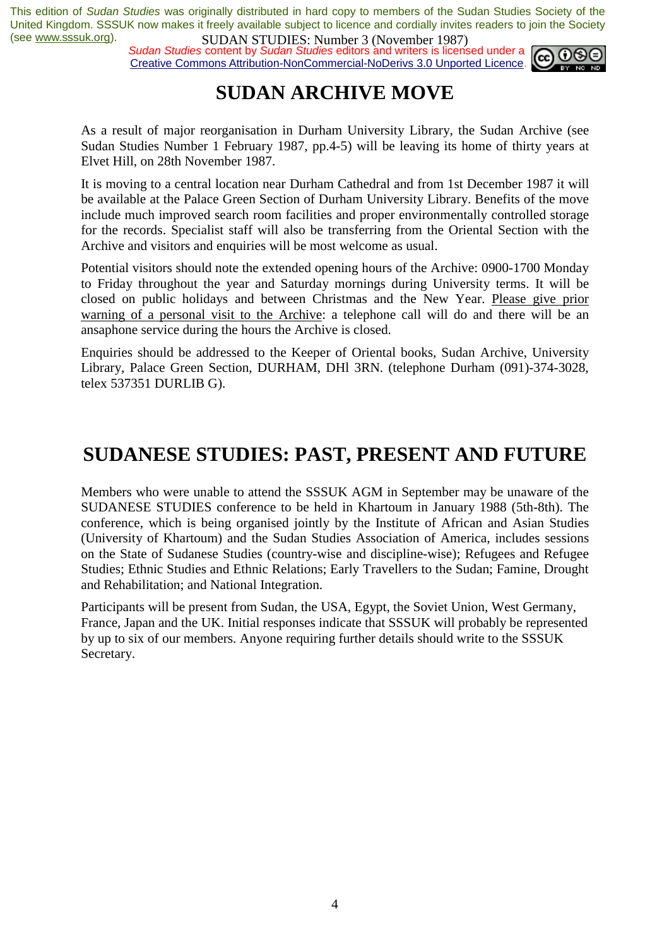*Sudan Studies content by Sudan Studies editors and writers is licensed under a* Creative Commons Attribution-NonCommercial-NoDerivs 3.0 Unported Licence.



### **SUDAN ARCHIVE MOVE**

As a result of major reorganisation in Durham University Library, the Sudan Archive (see Sudan Studies Number 1 February 1987, pp.4-5) will be leaving its home of thirty years at Elvet Hill, on 28th November 1987.

It is moving to a central location near Durham Cathedral and from 1st December 1987 it will be available at the Palace Green Section of Durham University Library. Benefits of the move include much improved search room facilities and proper environmentally controlled storage for the records. Specialist staff will also be transferring from the Oriental Section with the Archive and visitors and enquiries will be most welcome as usual.

Potential visitors should note the extended opening hours of the Archive: 0900-1700 Monday to Friday throughout the year and Saturday mornings during University terms. It will be closed on public holidays and between Christmas and the New Year. Please give prior warning of a personal visit to the Archive: a telephone call will do and there will be an ansaphone service during the hours the Archive is closed.

Enquiries should be addressed to the Keeper of Oriental books, Sudan Archive, University Library, Palace Green Section, DURHAM, DHl 3RN. (telephone Durham (091)-374-3028, telex 537351 DURLIB G).

### **SUDANESE STUDIES: PAST, PRESENT AND FUTURE**

Members who were unable to attend the SSSUK AGM in September may be unaware of the SUDANESE STUDIES conference to be held in Khartoum in January 1988 (5th-8th). The conference, which is being organised jointly by the Institute of African and Asian Studies (University of Khartoum) and the Sudan Studies Association of America, includes sessions on the State of Sudanese Studies (country-wise and discipline-wise); Refugees and Refugee Studies; Ethnic Studies and Ethnic Relations; Early Travellers to the Sudan; Famine, Drought and Rehabilitation; and National Integration.

Participants will be present from Sudan, the USA, Egypt, the Soviet Union, West Germany, France, Japan and the UK. Initial responses indicate that SSSUK will probably be represented by up to six of our members. Anyone requiring further details should write to the SSSUK Secretary.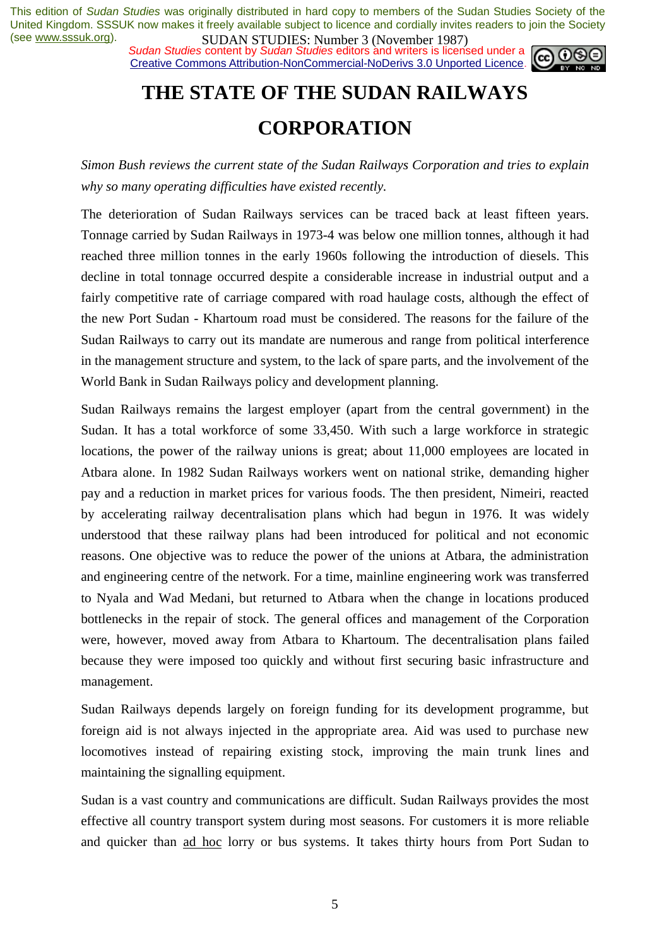*Sudan Studies content by Sudan Studies editors and writers is licensed under a* Creative Commons Attribution-NonCommercial-NoDerivs 3.0 Unported Licence.



# **THE STATE OF THE SUDAN RAILWAYS CORPORATION**

*Simon Bush reviews the current state of the Sudan Railways Corporation and tries to explain why so many operating difficulties have existed recently.* 

The deterioration of Sudan Railways services can be traced back at least fifteen years. Tonnage carried by Sudan Railways in 1973-4 was below one million tonnes, although it had reached three million tonnes in the early 1960s following the introduction of diesels. This decline in total tonnage occurred despite a considerable increase in industrial output and a fairly competitive rate of carriage compared with road haulage costs, although the effect of the new Port Sudan - Khartoum road must be considered. The reasons for the failure of the Sudan Railways to carry out its mandate are numerous and range from political interference in the management structure and system, to the lack of spare parts, and the involvement of the World Bank in Sudan Railways policy and development planning.

Sudan Railways remains the largest employer (apart from the central government) in the Sudan. It has a total workforce of some 33,450. With such a large workforce in strategic locations, the power of the railway unions is great; about 11,000 employees are located in Atbara alone. In 1982 Sudan Railways workers went on national strike, demanding higher pay and a reduction in market prices for various foods. The then president, Nimeiri, reacted by accelerating railway decentralisation plans which had begun in 1976. It was widely understood that these railway plans had been introduced for political and not economic reasons. One objective was to reduce the power of the unions at Atbara, the administration and engineering centre of the network. For a time, mainline engineering work was transferred to Nyala and Wad Medani, but returned to Atbara when the change in locations produced bottlenecks in the repair of stock. The general offices and management of the Corporation were, however, moved away from Atbara to Khartoum. The decentralisation plans failed because they were imposed too quickly and without first securing basic infrastructure and management.

Sudan Railways depends largely on foreign funding for its development programme, but foreign aid is not always injected in the appropriate area. Aid was used to purchase new locomotives instead of repairing existing stock, improving the main trunk lines and maintaining the signalling equipment.

Sudan is a vast country and communications are difficult. Sudan Railways provides the most effective all country transport system during most seasons. For customers it is more reliable and quicker than ad hoc lorry or bus systems. It takes thirty hours from Port Sudan to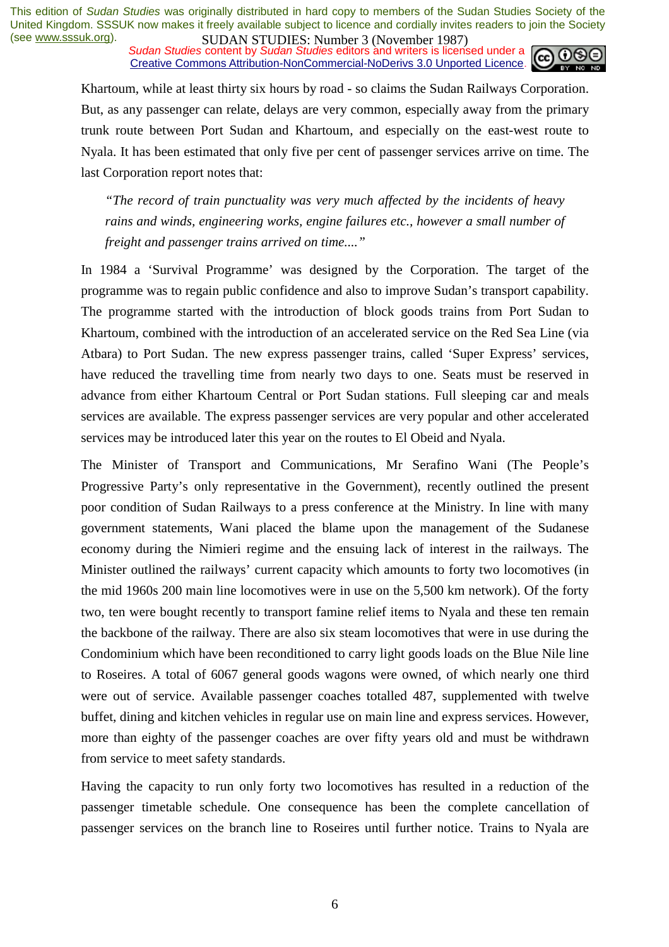*Sudan Studies content by Sudan Studies editors and writers is licensed under a* Creative Commons Attribution-NonCommercial-NoDerivs 3.0 Unported Licence.



Khartoum, while at least thirty six hours by road - so claims the Sudan Railways Corporation. But, as any passenger can relate, delays are very common, especially away from the primary trunk route between Port Sudan and Khartoum, and especially on the east-west route to Nyala. It has been estimated that only five per cent of passenger services arrive on time. The last Corporation report notes that:

*"The record of train punctuality was very much affected by the incidents of heavy rains and winds, engineering works, engine failures etc., however a small number of freight and passenger trains arrived on time...."* 

In 1984 a 'Survival Programme' was designed by the Corporation. The target of the programme was to regain public confidence and also to improve Sudan's transport capability. The programme started with the introduction of block goods trains from Port Sudan to Khartoum, combined with the introduction of an accelerated service on the Red Sea Line (via Atbara) to Port Sudan. The new express passenger trains, called 'Super Express' services, have reduced the travelling time from nearly two days to one. Seats must be reserved in advance from either Khartoum Central or Port Sudan stations. Full sleeping car and meals services are available. The express passenger services are very popular and other accelerated services may be introduced later this year on the routes to El Obeid and Nyala.

The Minister of Transport and Communications, Mr Serafino Wani (The People's Progressive Party's only representative in the Government), recently outlined the present poor condition of Sudan Railways to a press conference at the Ministry. In line with many government statements, Wani placed the blame upon the management of the Sudanese economy during the Nimieri regime and the ensuing lack of interest in the railways. The Minister outlined the railways' current capacity which amounts to forty two locomotives (in the mid 1960s 200 main line locomotives were in use on the 5,500 km network). Of the forty two, ten were bought recently to transport famine relief items to Nyala and these ten remain the backbone of the railway. There are also six steam locomotives that were in use during the Condominium which have been reconditioned to carry light goods loads on the Blue Nile line to Roseires. A total of 6067 general goods wagons were owned, of which nearly one third were out of service. Available passenger coaches totalled 487, supplemented with twelve buffet, dining and kitchen vehicles in regular use on main line and express services. However, more than eighty of the passenger coaches are over fifty years old and must be withdrawn from service to meet safety standards.

Having the capacity to run only forty two locomotives has resulted in a reduction of the passenger timetable schedule. One consequence has been the complete cancellation of passenger services on the branch line to Roseires until further notice. Trains to Nyala are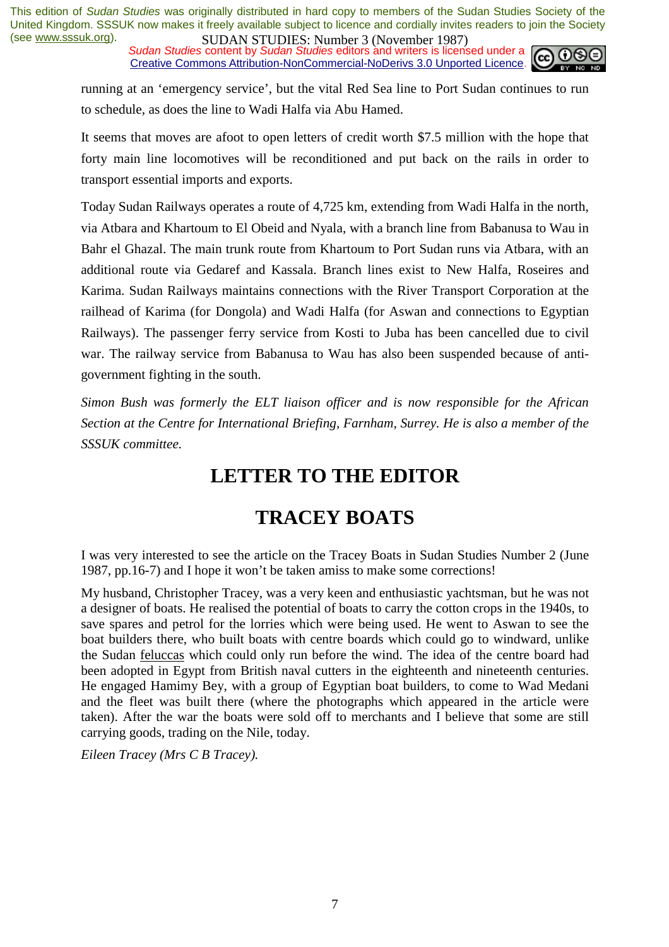*Sudan Studies content by Sudan Studies editors and writers is licensed under a* Creative Commons Attribution-NonCommercial-NoDerivs 3.0 Unported Licence.



running at an 'emergency service', but the vital Red Sea line to Port Sudan continues to run to schedule, as does the line to Wadi Halfa via Abu Hamed.

It seems that moves are afoot to open letters of credit worth \$7.5 million with the hope that forty main line locomotives will be reconditioned and put back on the rails in order to transport essential imports and exports.

Today Sudan Railways operates a route of 4,725 km, extending from Wadi Halfa in the north, via Atbara and Khartoum to El Obeid and Nyala, with a branch line from Babanusa to Wau in Bahr el Ghazal. The main trunk route from Khartoum to Port Sudan runs via Atbara, with an additional route via Gedaref and Kassala. Branch lines exist to New Halfa, Roseires and Karima. Sudan Railways maintains connections with the River Transport Corporation at the railhead of Karima (for Dongola) and Wadi Halfa (for Aswan and connections to Egyptian Railways). The passenger ferry service from Kosti to Juba has been cancelled due to civil war. The railway service from Babanusa to Wau has also been suspended because of antigovernment fighting in the south.

*Simon Bush was formerly the ELT liaison officer and is now responsible for the African Section at the Centre for International Briefing, Farnham, Surrey. He is also a member of the SSSUK committee.* 

### **LETTER TO THE EDITOR**

### **TRACEY BOATS**

I was very interested to see the article on the Tracey Boats in Sudan Studies Number 2 (June 1987, pp.16-7) and I hope it won't be taken amiss to make some corrections!

My husband, Christopher Tracey, was a very keen and enthusiastic yachtsman, but he was not a designer of boats. He realised the potential of boats to carry the cotton crops in the 1940s, to save spares and petrol for the lorries which were being used. He went to Aswan to see the boat builders there, who built boats with centre boards which could go to windward, unlike the Sudan feluccas which could only run before the wind. The idea of the centre board had been adopted in Egypt from British naval cutters in the eighteenth and nineteenth centuries. He engaged Hamimy Bey, with a group of Egyptian boat builders, to come to Wad Medani and the fleet was built there (where the photographs which appeared in the article were taken). After the war the boats were sold off to merchants and I believe that some are still carrying goods, trading on the Nile, today.

*Eileen Tracey (Mrs C B Tracey).*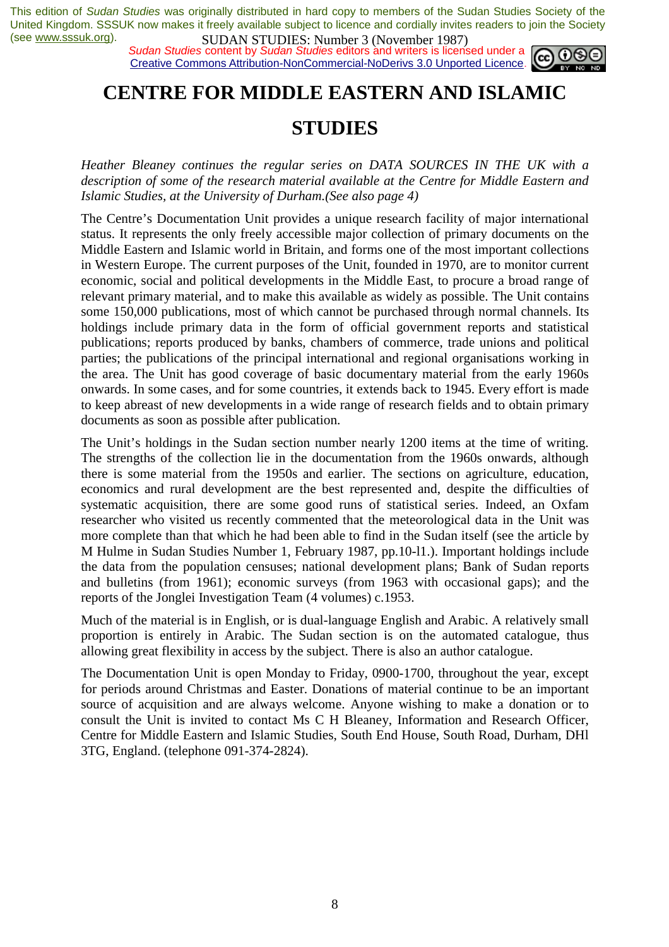*Sudan Studies* content by *Sudan Studies* editors and writers is licensed under a Creative Commons Attribution-NonCommercial-NoDerivs 3.0 Unported Licence.



### **CENTRE FOR MIDDLE EASTERN AND ISLAMIC**

### **STUDIES**

*Heather Bleaney continues the regular series on DATA SOURCES IN THE UK with a description of some of the research material available at the Centre for Middle Eastern and Islamic Studies, at the University of Durham.(See also page 4)* 

The Centre's Documentation Unit provides a unique research facility of major international status. It represents the only freely accessible major collection of primary documents on the Middle Eastern and Islamic world in Britain, and forms one of the most important collections in Western Europe. The current purposes of the Unit, founded in 1970, are to monitor current economic, social and political developments in the Middle East, to procure a broad range of relevant primary material, and to make this available as widely as possible. The Unit contains some 150,000 publications, most of which cannot be purchased through normal channels. Its holdings include primary data in the form of official government reports and statistical publications; reports produced by banks, chambers of commerce, trade unions and political parties; the publications of the principal international and regional organisations working in the area. The Unit has good coverage of basic documentary material from the early 1960s onwards. In some cases, and for some countries, it extends back to 1945. Every effort is made to keep abreast of new developments in a wide range of research fields and to obtain primary documents as soon as possible after publication.

The Unit's holdings in the Sudan section number nearly 1200 items at the time of writing. The strengths of the collection lie in the documentation from the 1960s onwards, although there is some material from the 1950s and earlier. The sections on agriculture, education, economics and rural development are the best represented and, despite the difficulties of systematic acquisition, there are some good runs of statistical series. Indeed, an Oxfam researcher who visited us recently commented that the meteorological data in the Unit was more complete than that which he had been able to find in the Sudan itself (see the article by M Hulme in Sudan Studies Number 1, February 1987, pp.10-l1.). Important holdings include the data from the population censuses; national development plans; Bank of Sudan reports and bulletins (from 1961); economic surveys (from 1963 with occasional gaps); and the reports of the Jonglei Investigation Team (4 volumes) c.1953.

Much of the material is in English, or is dual-language English and Arabic. A relatively small proportion is entirely in Arabic. The Sudan section is on the automated catalogue, thus allowing great flexibility in access by the subject. There is also an author catalogue.

The Documentation Unit is open Monday to Friday, 0900-1700, throughout the year, except for periods around Christmas and Easter. Donations of material continue to be an important source of acquisition and are always welcome. Anyone wishing to make a donation or to consult the Unit is invited to contact Ms C H Bleaney, Information and Research Officer, Centre for Middle Eastern and Islamic Studies, South End House, South Road, Durham, DHl 3TG, England. (telephone 091-374-2824).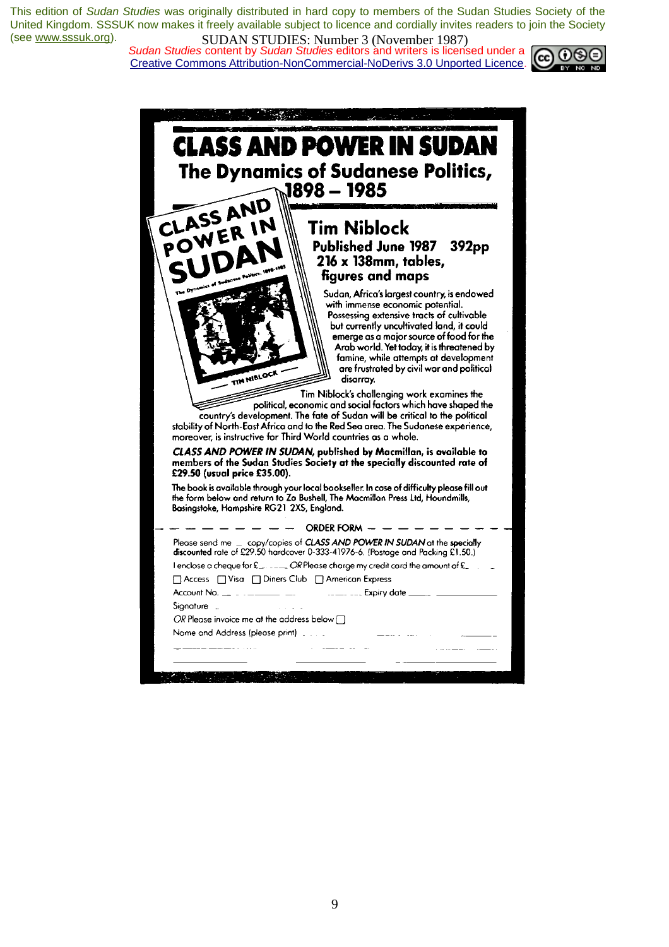*Sudan Studies content by Sudan Studies editors and writers is licensed under a* Creative Commons Attribution-NonCommercial-NoDerivs 3.0 Unported Licence.



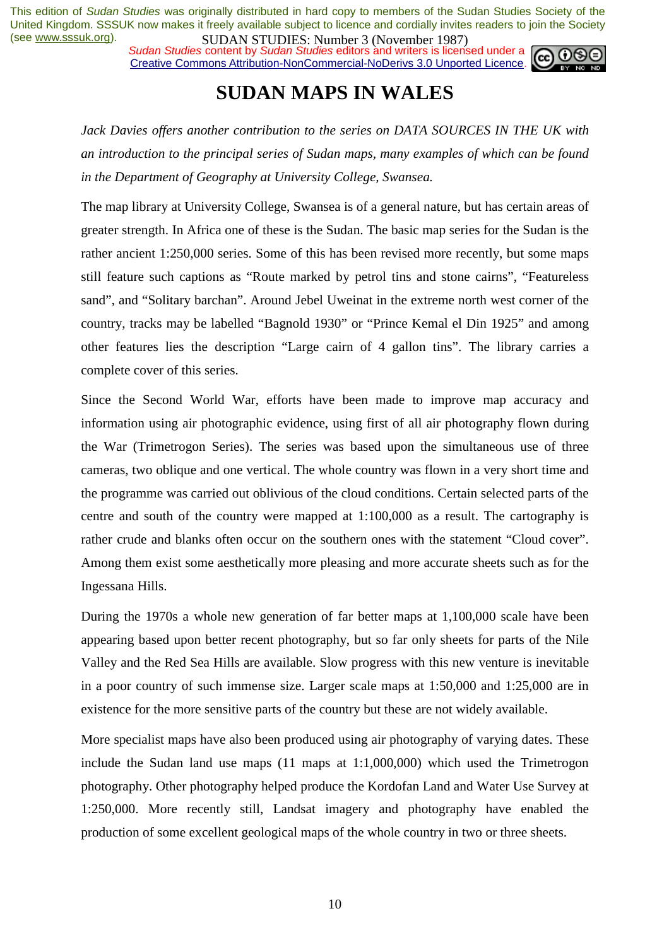*Sudan Studies content by Sudan Studies editors and writers is licensed under a* Creative Commons Attribution-NonCommercial-NoDerivs 3.0 Unported Licence.



### **SUDAN MAPS IN WALES**

*Jack Davies offers another contribution to the series on DATA SOURCES IN THE UK with an introduction to the principal series of Sudan maps, many examples of which can be found in the Department of Geography at University College, Swansea.* 

The map library at University College, Swansea is of a general nature, but has certain areas of greater strength. In Africa one of these is the Sudan. The basic map series for the Sudan is the rather ancient 1:250,000 series. Some of this has been revised more recently, but some maps still feature such captions as "Route marked by petrol tins and stone cairns", "Featureless sand", and "Solitary barchan". Around Jebel Uweinat in the extreme north west corner of the country, tracks may be labelled "Bagnold 1930" or "Prince Kemal el Din 1925" and among other features lies the description "Large cairn of 4 gallon tins". The library carries a complete cover of this series.

Since the Second World War, efforts have been made to improve map accuracy and information using air photographic evidence, using first of all air photography flown during the War (Trimetrogon Series). The series was based upon the simultaneous use of three cameras, two oblique and one vertical. The whole country was flown in a very short time and the programme was carried out oblivious of the cloud conditions. Certain selected parts of the centre and south of the country were mapped at 1:100,000 as a result. The cartography is rather crude and blanks often occur on the southern ones with the statement "Cloud cover". Among them exist some aesthetically more pleasing and more accurate sheets such as for the Ingessana Hills.

During the 1970s a whole new generation of far better maps at 1,100,000 scale have been appearing based upon better recent photography, but so far only sheets for parts of the Nile Valley and the Red Sea Hills are available. Slow progress with this new venture is inevitable in a poor country of such immense size. Larger scale maps at 1:50,000 and 1:25,000 are in existence for the more sensitive parts of the country but these are not widely available.

More specialist maps have also been produced using air photography of varying dates. These include the Sudan land use maps (11 maps at 1:1,000,000) which used the Trimetrogon photography. Other photography helped produce the Kordofan Land and Water Use Survey at 1:250,000. More recently still, Landsat imagery and photography have enabled the production of some excellent geological maps of the whole country in two or three sheets.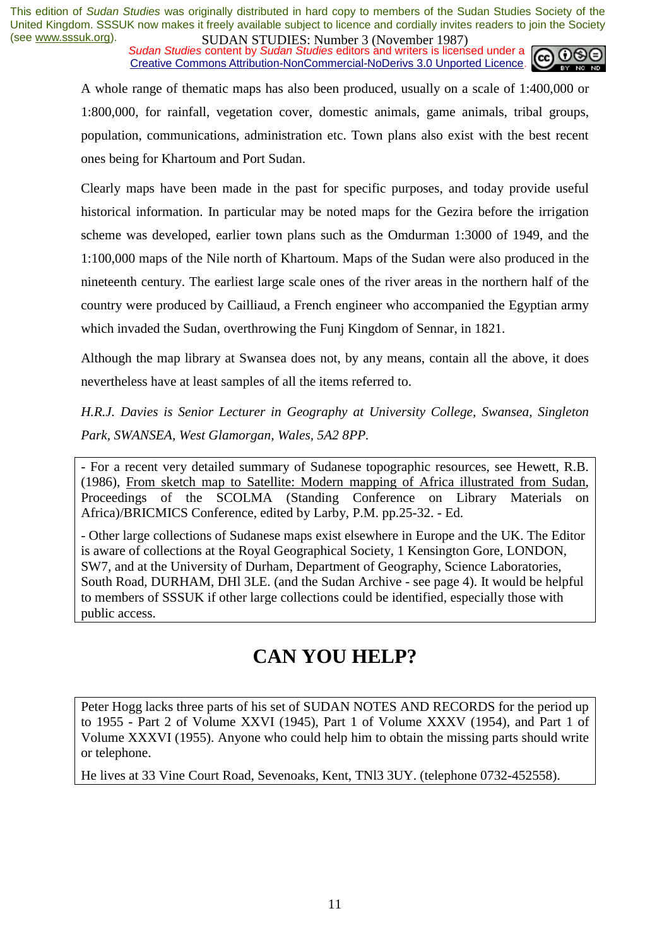*Sudan Studies content by Sudan Studies editors and writers is licensed under a* Creative Commons Attribution-NonCommercial-NoDerivs 3.0 Unported Licence.



A whole range of thematic maps has also been produced, usually on a scale of 1:400,000 or 1:800,000, for rainfall, vegetation cover, domestic animals, game animals, tribal groups, population, communications, administration etc. Town plans also exist with the best recent ones being for Khartoum and Port Sudan.

Clearly maps have been made in the past for specific purposes, and today provide useful historical information. In particular may be noted maps for the Gezira before the irrigation scheme was developed, earlier town plans such as the Omdurman 1:3000 of 1949, and the 1:100,000 maps of the Nile north of Khartoum. Maps of the Sudan were also produced in the nineteenth century. The earliest large scale ones of the river areas in the northern half of the country were produced by Cailliaud, a French engineer who accompanied the Egyptian army which invaded the Sudan, overthrowing the Funj Kingdom of Sennar, in 1821.

Although the map library at Swansea does not, by any means, contain all the above, it does nevertheless have at least samples of all the items referred to.

*H.R.J. Davies is Senior Lecturer in Geography at University College, Swansea, Singleton Park, SWANSEA, West Glamorgan, Wales, 5A2 8PP.* 

- For a recent very detailed summary of Sudanese topographic resources, see Hewett, R.B. (1986), From sketch map to Satellite: Modern mapping of Africa illustrated from Sudan, Proceedings of the SCOLMA (Standing Conference on Library Materials on Africa)/BRICMICS Conference, edited by Larby, P.M. pp.25-32. - Ed.

- Other large collections of Sudanese maps exist elsewhere in Europe and the UK. The Editor is aware of collections at the Royal Geographical Society, 1 Kensington Gore, LONDON, SW7, and at the University of Durham, Department of Geography, Science Laboratories, South Road, DURHAM, DHl 3LE. (and the Sudan Archive - see page 4). It would be helpful to members of SSSUK if other large collections could be identified, especially those with public access.

# **CAN YOU HELP?**

Peter Hogg lacks three parts of his set of SUDAN NOTES AND RECORDS for the period up to 1955 - Part 2 of Volume XXVI (1945), Part 1 of Volume XXXV (1954), and Part 1 of Volume XXXVI (1955). Anyone who could help him to obtain the missing parts should write or telephone.

He lives at 33 Vine Court Road, Sevenoaks, Kent, TNl3 3UY. (telephone 0732-452558).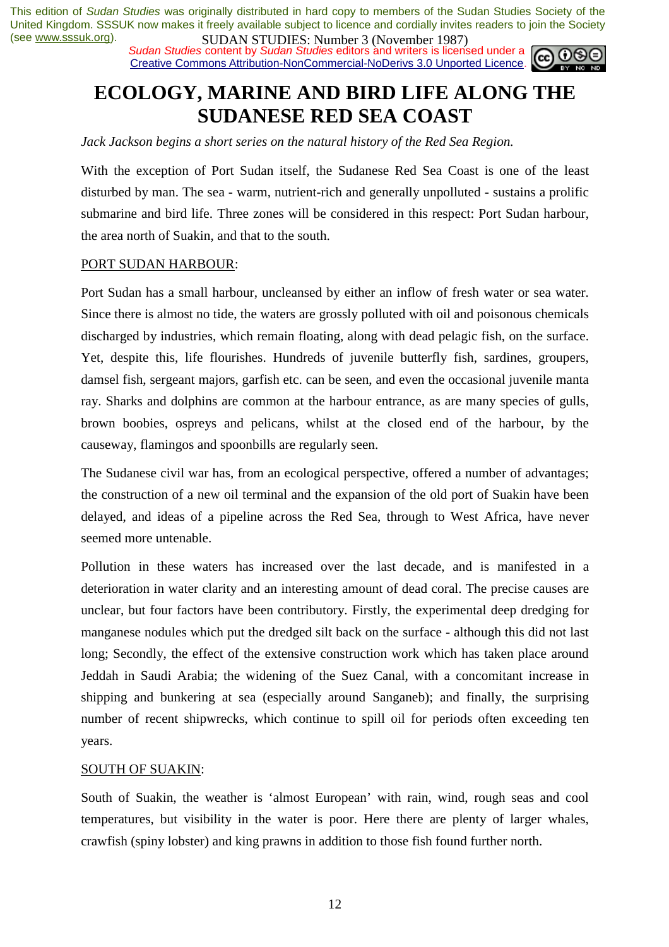*Sudan Studies content by Sudan Studies editors and writers is licensed under a* Creative Commons Attribution-NonCommercial-NoDerivs 3.0 Unported Licence.



# **ECOLOGY, MARINE AND BIRD LIFE ALONG THE SUDANESE RED SEA COAST**

*Jack Jackson begins a short series on the natural history of the Red Sea Region.* 

With the exception of Port Sudan itself, the Sudanese Red Sea Coast is one of the least disturbed by man. The sea - warm, nutrient-rich and generally unpolluted - sustains a prolific submarine and bird life. Three zones will be considered in this respect: Port Sudan harbour, the area north of Suakin, and that to the south.

#### PORT SUDAN HARBOUR:

Port Sudan has a small harbour, uncleansed by either an inflow of fresh water or sea water. Since there is almost no tide, the waters are grossly polluted with oil and poisonous chemicals discharged by industries, which remain floating, along with dead pelagic fish, on the surface. Yet, despite this, life flourishes. Hundreds of juvenile butterfly fish, sardines, groupers, damsel fish, sergeant majors, garfish etc. can be seen, and even the occasional juvenile manta ray. Sharks and dolphins are common at the harbour entrance, as are many species of gulls, brown boobies, ospreys and pelicans, whilst at the closed end of the harbour, by the causeway, flamingos and spoonbills are regularly seen.

The Sudanese civil war has, from an ecological perspective, offered a number of advantages; the construction of a new oil terminal and the expansion of the old port of Suakin have been delayed, and ideas of a pipeline across the Red Sea, through to West Africa, have never seemed more untenable.

Pollution in these waters has increased over the last decade, and is manifested in a deterioration in water clarity and an interesting amount of dead coral. The precise causes are unclear, but four factors have been contributory. Firstly, the experimental deep dredging for manganese nodules which put the dredged silt back on the surface - although this did not last long; Secondly, the effect of the extensive construction work which has taken place around Jeddah in Saudi Arabia; the widening of the Suez Canal, with a concomitant increase in shipping and bunkering at sea (especially around Sanganeb); and finally, the surprising number of recent shipwrecks, which continue to spill oil for periods often exceeding ten years.

#### SOUTH OF SUAKIN:

South of Suakin, the weather is 'almost European' with rain, wind, rough seas and cool temperatures, but visibility in the water is poor. Here there are plenty of larger whales, crawfish (spiny lobster) and king prawns in addition to those fish found further north.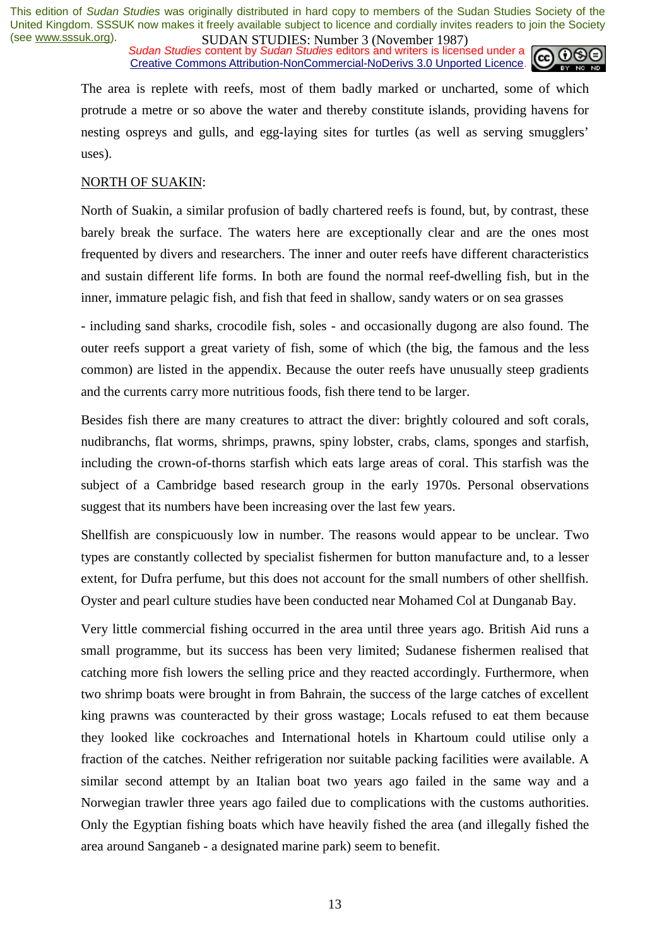*Sudan Studies content by Sudan Studies editors and writers is licensed under a* Creative Commons Attribution-NonCommercial-NoDerivs 3.0 Unported Licence.



The area is replete with reefs, most of them badly marked or uncharted, some of which protrude a metre or so above the water and thereby constitute islands, providing havens for nesting ospreys and gulls, and egg-laying sites for turtles (as well as serving smugglers' uses).

#### NORTH OF SUAKIN:

North of Suakin, a similar profusion of badly chartered reefs is found, but, by contrast, these barely break the surface. The waters here are exceptionally clear and are the ones most frequented by divers and researchers. The inner and outer reefs have different characteristics and sustain different life forms. In both are found the normal reef-dwelling fish, but in the inner, immature pelagic fish, and fish that feed in shallow, sandy waters or on sea grasses

- including sand sharks, crocodile fish, soles - and occasionally dugong are also found. The outer reefs support a great variety of fish, some of which (the big, the famous and the less common) are listed in the appendix. Because the outer reefs have unusually steep gradients and the currents carry more nutritious foods, fish there tend to be larger.

Besides fish there are many creatures to attract the diver: brightly coloured and soft corals, nudibranchs, flat worms, shrimps, prawns, spiny lobster, crabs, clams, sponges and starfish, including the crown-of-thorns starfish which eats large areas of coral. This starfish was the subject of a Cambridge based research group in the early 1970s. Personal observations suggest that its numbers have been increasing over the last few years.

Shellfish are conspicuously low in number. The reasons would appear to be unclear. Two types are constantly collected by specialist fishermen for button manufacture and, to a lesser extent, for Dufra perfume, but this does not account for the small numbers of other shellfish. Oyster and pearl culture studies have been conducted near Mohamed Col at Dunganab Bay.

Very little commercial fishing occurred in the area until three years ago. British Aid runs a small programme, but its success has been very limited; Sudanese fishermen realised that catching more fish lowers the selling price and they reacted accordingly. Furthermore, when two shrimp boats were brought in from Bahrain, the success of the large catches of excellent king prawns was counteracted by their gross wastage; Locals refused to eat them because they looked like cockroaches and International hotels in Khartoum could utilise only a fraction of the catches. Neither refrigeration nor suitable packing facilities were available. A similar second attempt by an Italian boat two years ago failed in the same way and a Norwegian trawler three years ago failed due to complications with the customs authorities. Only the Egyptian fishing boats which have heavily fished the area (and illegally fished the area around Sanganeb - a designated marine park) seem to benefit.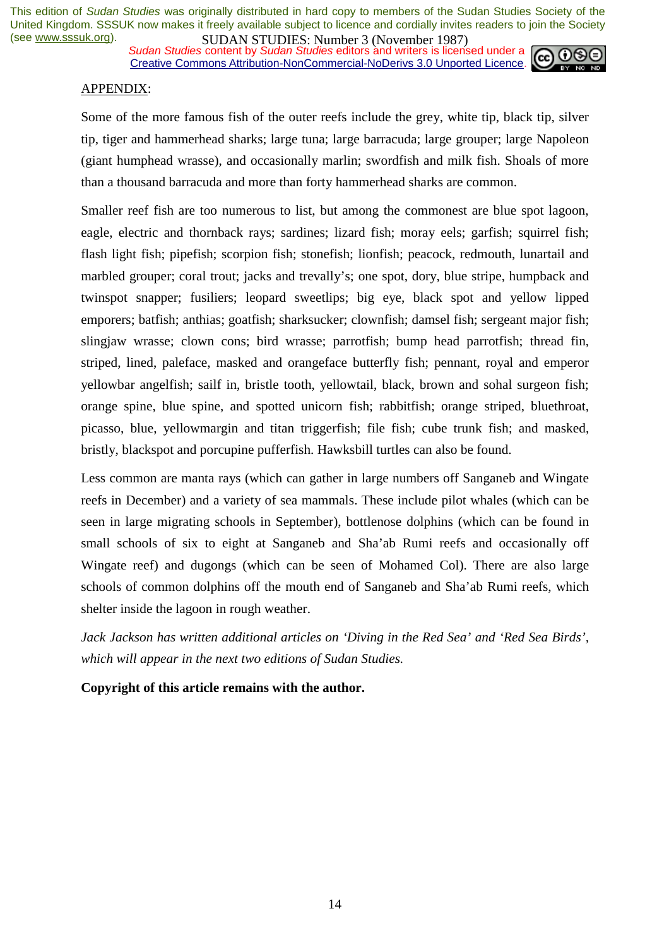*Sudan Studies content by Sudan Studies editors and writers is licensed under a* Creative Commons Attribution-NonCommercial-NoDerivs 3.0 Unported Licence.



#### APPENDIX:

Some of the more famous fish of the outer reefs include the grey, white tip, black tip, silver tip, tiger and hammerhead sharks; large tuna; large barracuda; large grouper; large Napoleon (giant humphead wrasse), and occasionally marlin; swordfish and milk fish. Shoals of more than a thousand barracuda and more than forty hammerhead sharks are common.

Smaller reef fish are too numerous to list, but among the commonest are blue spot lagoon, eagle, electric and thornback rays; sardines; lizard fish; moray eels; garfish; squirrel fish; flash light fish; pipefish; scorpion fish; stonefish; lionfish; peacock, redmouth, lunartail and marbled grouper; coral trout; jacks and trevally's; one spot, dory, blue stripe, humpback and twinspot snapper; fusiliers; leopard sweetlips; big eye, black spot and yellow lipped emporers; batfish; anthias; goatfish; sharksucker; clownfish; damsel fish; sergeant major fish; slingjaw wrasse; clown cons; bird wrasse; parrotfish; bump head parrotfish; thread fin, striped, lined, paleface, masked and orangeface butterfly fish; pennant, royal and emperor yellowbar angelfish; sailf in, bristle tooth, yellowtail, black, brown and sohal surgeon fish; orange spine, blue spine, and spotted unicorn fish; rabbitfish; orange striped, bluethroat, picasso, blue, yellowmargin and titan triggerfish; file fish; cube trunk fish; and masked, bristly, blackspot and porcupine pufferfish. Hawksbill turtles can also be found.

Less common are manta rays (which can gather in large numbers off Sanganeb and Wingate reefs in December) and a variety of sea mammals. These include pilot whales (which can be seen in large migrating schools in September), bottlenose dolphins (which can be found in small schools of six to eight at Sanganeb and Sha'ab Rumi reefs and occasionally off Wingate reef) and dugongs (which can be seen of Mohamed Col). There are also large schools of common dolphins off the mouth end of Sanganeb and Sha'ab Rumi reefs, which shelter inside the lagoon in rough weather.

*Jack Jackson has written additional articles on 'Diving in the Red Sea' and 'Red Sea Birds', which will appear in the next two editions of Sudan Studies.* 

**Copyright of this article remains with the author.**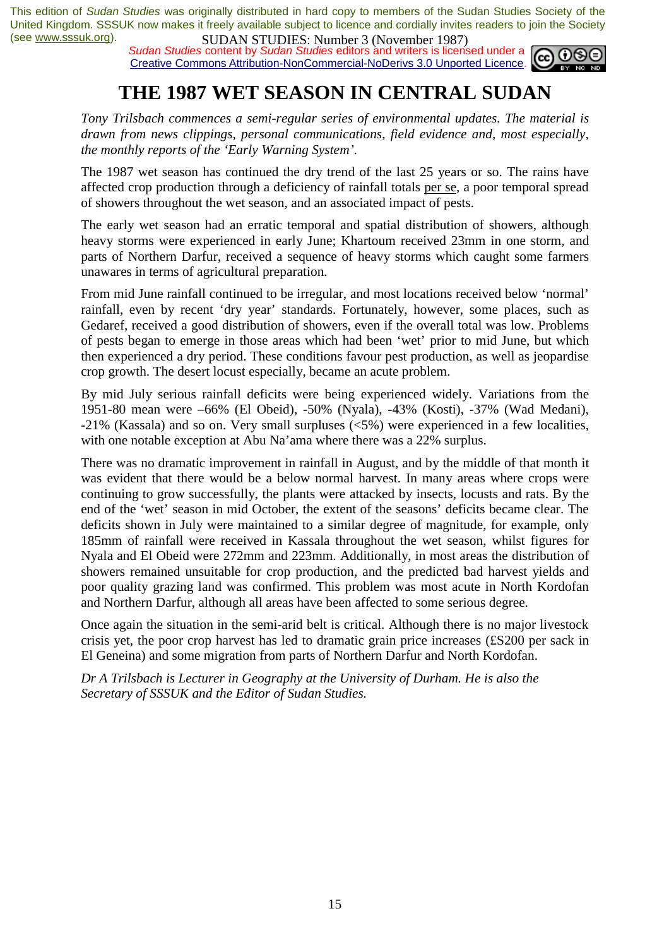*Sudan Studies* content by *Sudan Studies* editors and writers is licensed under a Creative Commons Attribution-NonCommercial-NoDerivs 3.0 Unported Licence.



# **THE 1987 WET SEASON IN CENTRAL SUDAN**

*Tony Trilsbach commences a semi-regular series of environmental updates. The material is drawn from news clippings, personal communications, field evidence and, most especially, the monthly reports of the 'Early Warning System'.* 

The 1987 wet season has continued the dry trend of the last 25 years or so. The rains have affected crop production through a deficiency of rainfall totals per se, a poor temporal spread of showers throughout the wet season, and an associated impact of pests.

The early wet season had an erratic temporal and spatial distribution of showers, although heavy storms were experienced in early June; Khartoum received 23mm in one storm, and parts of Northern Darfur, received a sequence of heavy storms which caught some farmers unawares in terms of agricultural preparation.

From mid June rainfall continued to be irregular, and most locations received below 'normal' rainfall, even by recent 'dry year' standards. Fortunately, however, some places, such as Gedaref, received a good distribution of showers, even if the overall total was low. Problems of pests began to emerge in those areas which had been 'wet' prior to mid June, but which then experienced a dry period. These conditions favour pest production, as well as jeopardise crop growth. The desert locust especially, became an acute problem.

By mid July serious rainfall deficits were being experienced widely. Variations from the 1951-80 mean were –66% (El Obeid), -50% (Nyala), -43% (Kosti), -37% (Wad Medani), -21% (Kassala) and so on. Very small surpluses (<5%) were experienced in a few localities, with one notable exception at Abu Na'ama where there was a 22% surplus.

There was no dramatic improvement in rainfall in August, and by the middle of that month it was evident that there would be a below normal harvest. In many areas where crops were continuing to grow successfully, the plants were attacked by insects, locusts and rats. By the end of the 'wet' season in mid October, the extent of the seasons' deficits became clear. The deficits shown in July were maintained to a similar degree of magnitude, for example, only 185mm of rainfall were received in Kassala throughout the wet season, whilst figures for Nyala and El Obeid were 272mm and 223mm. Additionally, in most areas the distribution of showers remained unsuitable for crop production, and the predicted bad harvest yields and poor quality grazing land was confirmed. This problem was most acute in North Kordofan and Northern Darfur, although all areas have been affected to some serious degree.

Once again the situation in the semi-arid belt is critical. Although there is no major livestock crisis yet, the poor crop harvest has led to dramatic grain price increases (£S200 per sack in El Geneina) and some migration from parts of Northern Darfur and North Kordofan.

*Dr A Trilsbach is Lecturer in Geography at the University of Durham. He is also the Secretary of SSSUK and the Editor of Sudan Studies.*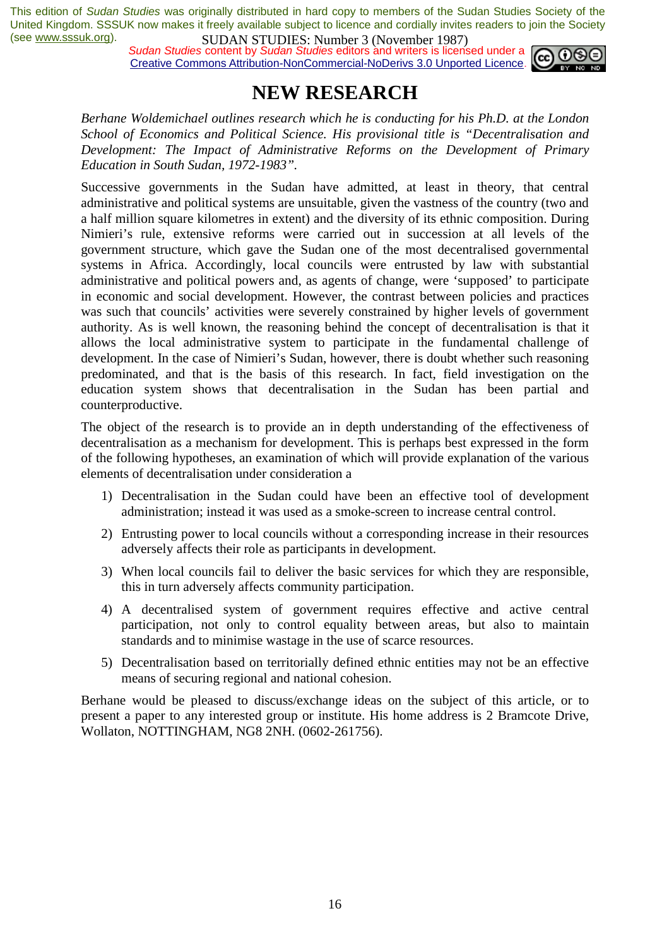*Sudan Studies content by Sudan Studies editors and writers is licensed under a* Creative Commons Attribution-NonCommercial-NoDerivs 3.0 Unported Licence.



### **NEW RESEARCH**

*Berhane Woldemichael outlines research which he is conducting for his Ph.D. at the London School of Economics and Political Science. His provisional title is "Decentralisation and Development: The Impact of Administrative Reforms on the Development of Primary Education in South Sudan, 1972-1983".* 

Successive governments in the Sudan have admitted, at least in theory, that central administrative and political systems are unsuitable, given the vastness of the country (two and a half million square kilometres in extent) and the diversity of its ethnic composition. During Nimieri's rule, extensive reforms were carried out in succession at all levels of the government structure, which gave the Sudan one of the most decentralised governmental systems in Africa. Accordingly, local councils were entrusted by law with substantial administrative and political powers and, as agents of change, were 'supposed' to participate in economic and social development. However, the contrast between policies and practices was such that councils' activities were severely constrained by higher levels of government authority. As is well known, the reasoning behind the concept of decentralisation is that it allows the local administrative system to participate in the fundamental challenge of development. In the case of Nimieri's Sudan, however, there is doubt whether such reasoning predominated, and that is the basis of this research. In fact, field investigation on the education system shows that decentralisation in the Sudan has been partial and counterproductive.

The object of the research is to provide an in depth understanding of the effectiveness of decentralisation as a mechanism for development. This is perhaps best expressed in the form of the following hypotheses, an examination of which will provide explanation of the various elements of decentralisation under consideration a

- 1) Decentralisation in the Sudan could have been an effective tool of development administration; instead it was used as a smoke-screen to increase central control.
- 2) Entrusting power to local councils without a corresponding increase in their resources adversely affects their role as participants in development.
- 3) When local councils fail to deliver the basic services for which they are responsible, this in turn adversely affects community participation.
- 4) A decentralised system of government requires effective and active central participation, not only to control equality between areas, but also to maintain standards and to minimise wastage in the use of scarce resources.
- 5) Decentralisation based on territorially defined ethnic entities may not be an effective means of securing regional and national cohesion.

Berhane would be pleased to discuss/exchange ideas on the subject of this article, or to present a paper to any interested group or institute. His home address is 2 Bramcote Drive, Wollaton, NOTTINGHAM, NG8 2NH. (0602-261756).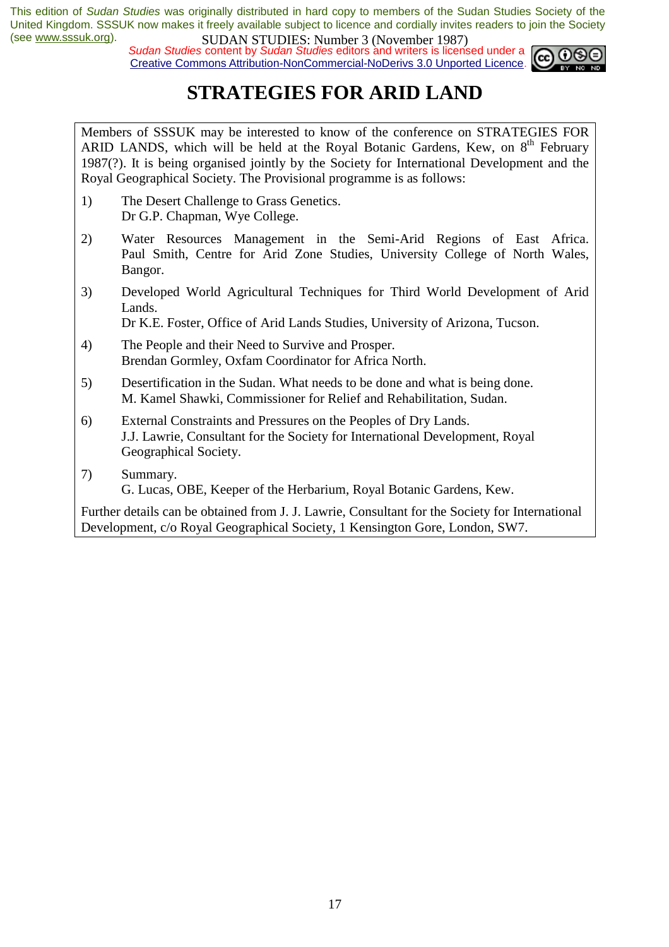*Sudan Studies content by Sudan Studies editors and writers is licensed under a* Creative Commons Attribution-NonCommercial-NoDerivs 3.0 Unported Licence.



# **STRATEGIES FOR ARID LAND**

Members of SSSUK may be interested to know of the conference on STRATEGIES FOR ARID LANDS, which will be held at the Royal Botanic Gardens, Kew, on  $8<sup>th</sup>$  February 1987(?). It is being organised jointly by the Society for International Development and the Royal Geographical Society. The Provisional programme is as follows:

- 1) The Desert Challenge to Grass Genetics. Dr G.P. Chapman, Wye College.
- 2) Water Resources Management in the Semi-Arid Regions of East Africa. Paul Smith, Centre for Arid Zone Studies, University College of North Wales, Bangor.
- 3) Developed World Agricultural Techniques for Third World Development of Arid Lands.

Dr K.E. Foster, Office of Arid Lands Studies, University of Arizona, Tucson.

- 4) The People and their Need to Survive and Prosper. Brendan Gormley, Oxfam Coordinator for Africa North.
- 5) Desertification in the Sudan. What needs to be done and what is being done. M. Kamel Shawki, Commissioner for Relief and Rehabilitation, Sudan.
- 6) External Constraints and Pressures on the Peoples of Dry Lands. J.J. Lawrie, Consultant for the Society for International Development, Royal Geographical Society.
- 7) Summary.

G. Lucas, OBE, Keeper of the Herbarium, Royal Botanic Gardens, Kew.

Further details can be obtained from J. J. Lawrie, Consultant for the Society for International Development, c/o Royal Geographical Society, 1 Kensington Gore, London, SW7.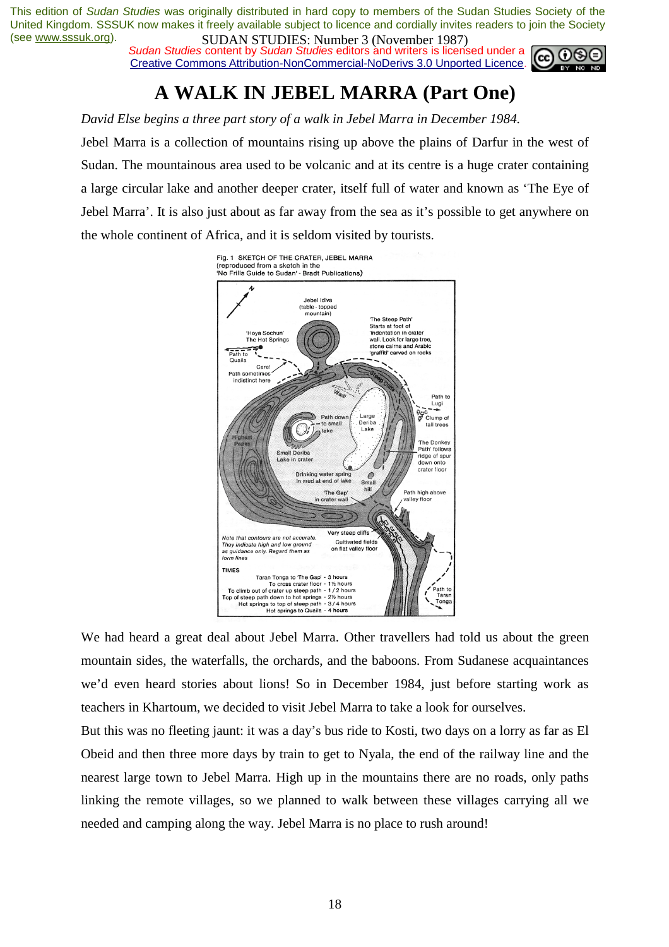**Sudan Studies content by Sudan Studies editors and writers is licensed under a** Creative Commons Attribution-NonCommercial-NoDerivs 3.0 Unported Licence.



# **A WALK IN JEBEL MARRA (Part One)**

*David Else begins a three part story of a walk in Jebel Marra in December 1984.* 

Jebel Marra is a collection of mountains rising up above the plains of Darfur in the west of Sudan. The mountainous area used to be volcanic and at its centre is a huge crater containing a large circular lake and another deeper crater, itself full of water and known as 'The Eye of Jebel Marra'. It is also just about as far away from the sea as it's possible to get anywhere on the whole continent of Africa, and it is seldom visited by tourists.



We had heard a great deal about Jebel Marra. Other travellers had told us about the green mountain sides, the waterfalls, the orchards, and the baboons. From Sudanese acquaintances we'd even heard stories about lions! So in December 1984, just before starting work as teachers in Khartoum, we decided to visit Jebel Marra to take a look for ourselves.

But this was no fleeting jaunt: it was a day's bus ride to Kosti, two days on a lorry as far as El Obeid and then three more days by train to get to Nyala, the end of the railway line and the nearest large town to Jebel Marra. High up in the mountains there are no roads, only paths linking the remote villages, so we planned to walk between these villages carrying all we needed and camping along the way. Jebel Marra is no place to rush around!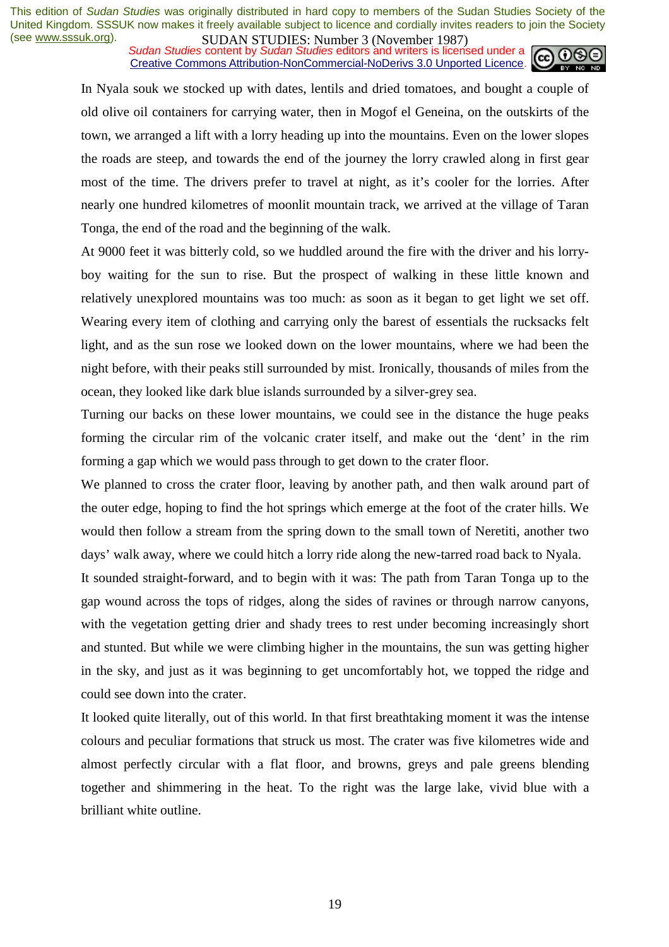*Sudan Studies content by Sudan Studies editors and writers is licensed under a* Creative Commons Attribution-NonCommercial-NoDerivs 3.0 Unported Licence.



In Nyala souk we stocked up with dates, lentils and dried tomatoes, and bought a couple of old olive oil containers for carrying water, then in Mogof el Geneina, on the outskirts of the town, we arranged a lift with a lorry heading up into the mountains. Even on the lower slopes the roads are steep, and towards the end of the journey the lorry crawled along in first gear most of the time. The drivers prefer to travel at night, as it's cooler for the lorries. After nearly one hundred kilometres of moonlit mountain track, we arrived at the village of Taran Tonga, the end of the road and the beginning of the walk.

At 9000 feet it was bitterly cold, so we huddled around the fire with the driver and his lorryboy waiting for the sun to rise. But the prospect of walking in these little known and relatively unexplored mountains was too much: as soon as it began to get light we set off. Wearing every item of clothing and carrying only the barest of essentials the rucksacks felt light, and as the sun rose we looked down on the lower mountains, where we had been the night before, with their peaks still surrounded by mist. Ironically, thousands of miles from the ocean, they looked like dark blue islands surrounded by a silver-grey sea.

Turning our backs on these lower mountains, we could see in the distance the huge peaks forming the circular rim of the volcanic crater itself, and make out the 'dent' in the rim forming a gap which we would pass through to get down to the crater floor.

We planned to cross the crater floor, leaving by another path, and then walk around part of the outer edge, hoping to find the hot springs which emerge at the foot of the crater hills. We would then follow a stream from the spring down to the small town of Neretiti, another two days' walk away, where we could hitch a lorry ride along the new-tarred road back to Nyala.

It sounded straight-forward, and to begin with it was: The path from Taran Tonga up to the gap wound across the tops of ridges, along the sides of ravines or through narrow canyons, with the vegetation getting drier and shady trees to rest under becoming increasingly short and stunted. But while we were climbing higher in the mountains, the sun was getting higher in the sky, and just as it was beginning to get uncomfortably hot, we topped the ridge and could see down into the crater.

It looked quite literally, out of this world. In that first breathtaking moment it was the intense colours and peculiar formations that struck us most. The crater was five kilometres wide and almost perfectly circular with a flat floor, and browns, greys and pale greens blending together and shimmering in the heat. To the right was the large lake, vivid blue with a brilliant white outline.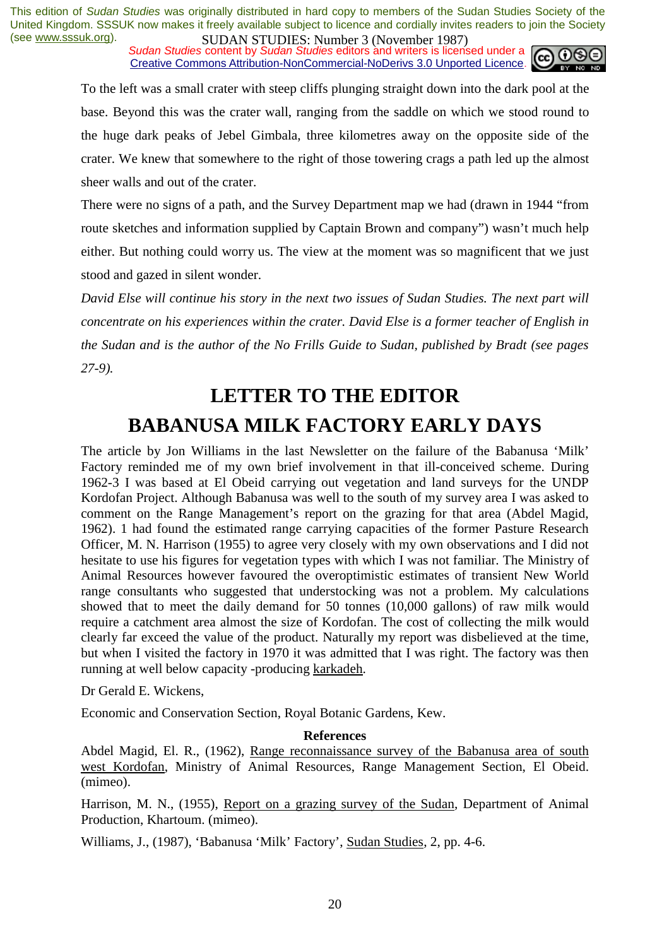*Sudan Studies content by Sudan Studies editors and writers is licensed under a* Creative Commons Attribution-NonCommercial-NoDerivs 3.0 Unported Licence.



To the left was a small crater with steep cliffs plunging straight down into the dark pool at the base. Beyond this was the crater wall, ranging from the saddle on which we stood round to the huge dark peaks of Jebel Gimbala, three kilometres away on the opposite side of the crater. We knew that somewhere to the right of those towering crags a path led up the almost sheer walls and out of the crater.

There were no signs of a path, and the Survey Department map we had (drawn in 1944 "from route sketches and information supplied by Captain Brown and company") wasn't much help either. But nothing could worry us. The view at the moment was so magnificent that we just stood and gazed in silent wonder.

*David Else will continue his story in the next two issues of Sudan Studies. The next part will concentrate on his experiences within the crater. David Else is a former teacher of English in the Sudan and is the author of the No Frills Guide to Sudan, published by Bradt (see pages 27-9).* 

# **LETTER TO THE EDITOR BABANUSA MILK FACTORY EARLY DAYS**

The article by Jon Williams in the last Newsletter on the failure of the Babanusa 'Milk' Factory reminded me of my own brief involvement in that ill-conceived scheme. During 1962-3 I was based at El Obeid carrying out vegetation and land surveys for the UNDP Kordofan Project. Although Babanusa was well to the south of my survey area I was asked to comment on the Range Management's report on the grazing for that area (Abdel Magid, 1962). 1 had found the estimated range carrying capacities of the former Pasture Research Officer, M. N. Harrison (1955) to agree very closely with my own observations and I did not hesitate to use his figures for vegetation types with which I was not familiar. The Ministry of Animal Resources however favoured the overoptimistic estimates of transient New World range consultants who suggested that understocking was not a problem. My calculations showed that to meet the daily demand for 50 tonnes (10,000 gallons) of raw milk would require a catchment area almost the size of Kordofan. The cost of collecting the milk would clearly far exceed the value of the product. Naturally my report was disbelieved at the time, but when I visited the factory in 1970 it was admitted that I was right. The factory was then running at well below capacity -producing karkadeh.

Dr Gerald E. Wickens,

Economic and Conservation Section, Royal Botanic Gardens, Kew.

#### **References**

Abdel Magid, El. R., (1962), Range reconnaissance survey of the Babanusa area of south west Kordofan, Ministry of Animal Resources, Range Management Section, El Obeid. (mimeo).

Harrison, M. N., (1955), Report on a grazing survey of the Sudan, Department of Animal Production, Khartoum. (mimeo).

Williams, J., (1987), 'Babanusa 'Milk' Factory', Sudan Studies, 2, pp. 4-6.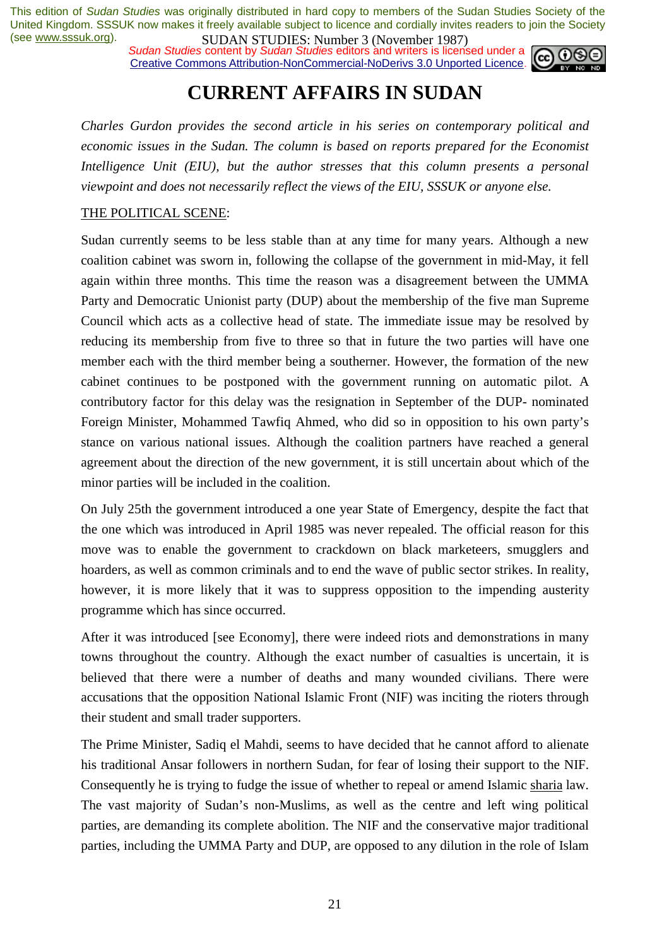*Sudan Studies content by Sudan Studies editors and writers is licensed under a* Creative Commons Attribution-NonCommercial-NoDerivs 3.0 Unported Licence.



### **CURRENT AFFAIRS IN SUDAN**

*Charles Gurdon provides the second article in his series on contemporary political and economic issues in the Sudan. The column is based on reports prepared for the Economist Intelligence Unit (EIU), but the author stresses that this column presents a personal viewpoint and does not necessarily reflect the views of the EIU, SSSUK or anyone else.* 

#### THE POLITICAL SCENE:

Sudan currently seems to be less stable than at any time for many years. Although a new coalition cabinet was sworn in, following the collapse of the government in mid-May, it fell again within three months. This time the reason was a disagreement between the UMMA Party and Democratic Unionist party (DUP) about the membership of the five man Supreme Council which acts as a collective head of state. The immediate issue may be resolved by reducing its membership from five to three so that in future the two parties will have one member each with the third member being a southerner. However, the formation of the new cabinet continues to be postponed with the government running on automatic pilot. A contributory factor for this delay was the resignation in September of the DUP- nominated Foreign Minister, Mohammed Tawfiq Ahmed, who did so in opposition to his own party's stance on various national issues. Although the coalition partners have reached a general agreement about the direction of the new government, it is still uncertain about which of the minor parties will be included in the coalition.

On July 25th the government introduced a one year State of Emergency, despite the fact that the one which was introduced in April 1985 was never repealed. The official reason for this move was to enable the government to crackdown on black marketeers, smugglers and hoarders, as well as common criminals and to end the wave of public sector strikes. In reality, however, it is more likely that it was to suppress opposition to the impending austerity programme which has since occurred.

After it was introduced [see Economy], there were indeed riots and demonstrations in many towns throughout the country. Although the exact number of casualties is uncertain, it is believed that there were a number of deaths and many wounded civilians. There were accusations that the opposition National Islamic Front (NIF) was inciting the rioters through their student and small trader supporters.

The Prime Minister, Sadiq el Mahdi, seems to have decided that he cannot afford to alienate his traditional Ansar followers in northern Sudan, for fear of losing their support to the NIF. Consequently he is trying to fudge the issue of whether to repeal or amend Islamic sharia law. The vast majority of Sudan's non-Muslims, as well as the centre and left wing political parties, are demanding its complete abolition. The NIF and the conservative major traditional parties, including the UMMA Party and DUP, are opposed to any dilution in the role of Islam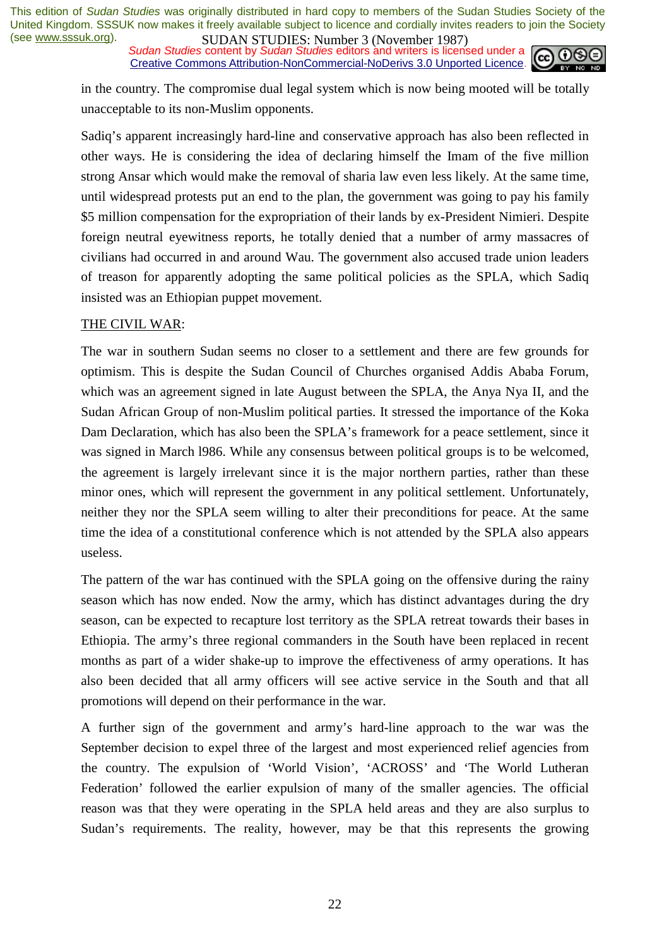*Sudan Studies* content by *Sudan Studies* editors and writers is licensed under a Creative Commons Attribution-NonCommercial-NoDerivs 3.0 Unported Licence.



in the country. The compromise dual legal system which is now being mooted will be totally unacceptable to its non-Muslim opponents.

Sadiq's apparent increasingly hard-line and conservative approach has also been reflected in other ways. He is considering the idea of declaring himself the Imam of the five million strong Ansar which would make the removal of sharia law even less likely. At the same time, until widespread protests put an end to the plan, the government was going to pay his family \$5 million compensation for the expropriation of their lands by ex-President Nimieri. Despite foreign neutral eyewitness reports, he totally denied that a number of army massacres of civilians had occurred in and around Wau. The government also accused trade union leaders of treason for apparently adopting the same political policies as the SPLA, which Sadiq insisted was an Ethiopian puppet movement.

#### THE CIVIL WAR:

The war in southern Sudan seems no closer to a settlement and there are few grounds for optimism. This is despite the Sudan Council of Churches organised Addis Ababa Forum, which was an agreement signed in late August between the SPLA, the Anya Nya II, and the Sudan African Group of non-Muslim political parties. It stressed the importance of the Koka Dam Declaration, which has also been the SPLA's framework for a peace settlement, since it was signed in March l986. While any consensus between political groups is to be welcomed, the agreement is largely irrelevant since it is the major northern parties, rather than these minor ones, which will represent the government in any political settlement. Unfortunately, neither they nor the SPLA seem willing to alter their preconditions for peace. At the same time the idea of a constitutional conference which is not attended by the SPLA also appears useless.

The pattern of the war has continued with the SPLA going on the offensive during the rainy season which has now ended. Now the army, which has distinct advantages during the dry season, can be expected to recapture lost territory as the SPLA retreat towards their bases in Ethiopia. The army's three regional commanders in the South have been replaced in recent months as part of a wider shake-up to improve the effectiveness of army operations. It has also been decided that all army officers will see active service in the South and that all promotions will depend on their performance in the war.

A further sign of the government and army's hard-line approach to the war was the September decision to expel three of the largest and most experienced relief agencies from the country. The expulsion of 'World Vision', 'ACROSS' and 'The World Lutheran Federation' followed the earlier expulsion of many of the smaller agencies. The official reason was that they were operating in the SPLA held areas and they are also surplus to Sudan's requirements. The reality, however, may be that this represents the growing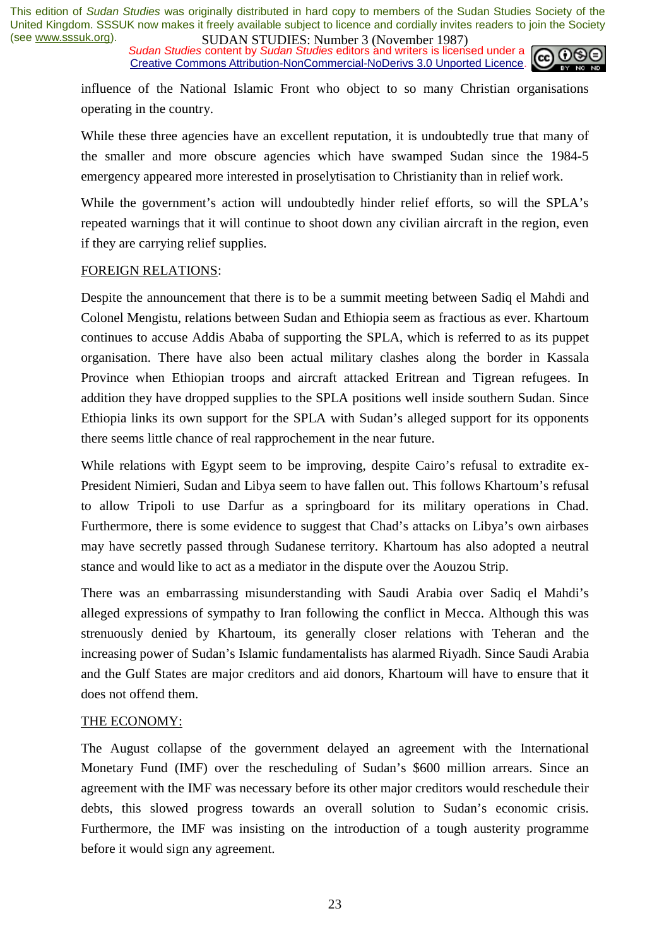*Sudan Studies content by Sudan Studies editors and writers is licensed under a* Creative Commons Attribution-NonCommercial-NoDerivs 3.0 Unported Licence.



influence of the National Islamic Front who object to so many Christian organisations operating in the country.

While these three agencies have an excellent reputation, it is undoubtedly true that many of the smaller and more obscure agencies which have swamped Sudan since the 1984-5 emergency appeared more interested in proselytisation to Christianity than in relief work.

While the government's action will undoubtedly hinder relief efforts, so will the SPLA's repeated warnings that it will continue to shoot down any civilian aircraft in the region, even if they are carrying relief supplies.

#### FOREIGN RELATIONS:

Despite the announcement that there is to be a summit meeting between Sadiq el Mahdi and Colonel Mengistu, relations between Sudan and Ethiopia seem as fractious as ever. Khartoum continues to accuse Addis Ababa of supporting the SPLA, which is referred to as its puppet organisation. There have also been actual military clashes along the border in Kassala Province when Ethiopian troops and aircraft attacked Eritrean and Tigrean refugees. In addition they have dropped supplies to the SPLA positions well inside southern Sudan. Since Ethiopia links its own support for the SPLA with Sudan's alleged support for its opponents there seems little chance of real rapprochement in the near future.

While relations with Egypt seem to be improving, despite Cairo's refusal to extradite ex-President Nimieri, Sudan and Libya seem to have fallen out. This follows Khartoum's refusal to allow Tripoli to use Darfur as a springboard for its military operations in Chad. Furthermore, there is some evidence to suggest that Chad's attacks on Libya's own airbases may have secretly passed through Sudanese territory. Khartoum has also adopted a neutral stance and would like to act as a mediator in the dispute over the Aouzou Strip.

There was an embarrassing misunderstanding with Saudi Arabia over Sadiq el Mahdi's alleged expressions of sympathy to Iran following the conflict in Mecca. Although this was strenuously denied by Khartoum, its generally closer relations with Teheran and the increasing power of Sudan's Islamic fundamentalists has alarmed Riyadh. Since Saudi Arabia and the Gulf States are major creditors and aid donors, Khartoum will have to ensure that it does not offend them.

#### THE ECONOMY:

The August collapse of the government delayed an agreement with the International Monetary Fund (IMF) over the rescheduling of Sudan's \$600 million arrears. Since an agreement with the IMF was necessary before its other major creditors would reschedule their debts, this slowed progress towards an overall solution to Sudan's economic crisis. Furthermore, the IMF was insisting on the introduction of a tough austerity programme before it would sign any agreement.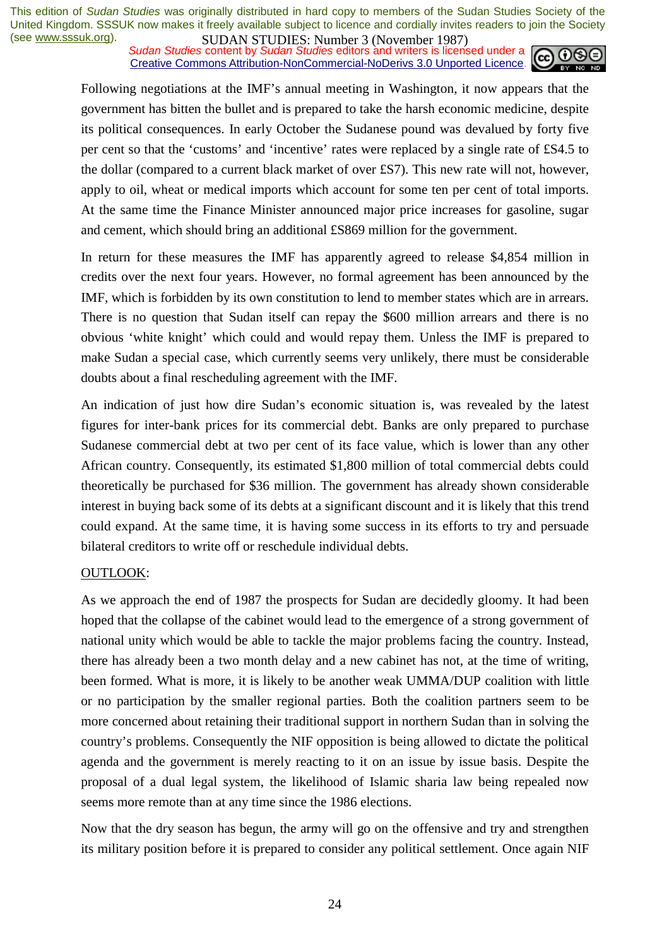**SUDAN STUDIES:** NUTTER JUNIVERSE 2014 1207, Sudan Studies content by *Sudan Studies* editors and writers is licensed under a Creative Commons Attribution-NonCommercial-NoDerivs 3.0 Unported Licence.



Following negotiations at the IMF's annual meeting in Washington, it now appears that the government has bitten the bullet and is prepared to take the harsh economic medicine, despite its political consequences. In early October the Sudanese pound was devalued by forty five per cent so that the 'customs' and 'incentive' rates were replaced by a single rate of £S4.5 to the dollar (compared to a current black market of over £S7). This new rate will not, however, apply to oil, wheat or medical imports which account for some ten per cent of total imports. At the same time the Finance Minister announced major price increases for gasoline, sugar and cement, which should bring an additional £S869 million for the government.

In return for these measures the IMF has apparently agreed to release \$4,854 million in credits over the next four years. However, no formal agreement has been announced by the IMF, which is forbidden by its own constitution to lend to member states which are in arrears. There is no question that Sudan itself can repay the \$600 million arrears and there is no obvious 'white knight' which could and would repay them. Unless the IMF is prepared to make Sudan a special case, which currently seems very unlikely, there must be considerable doubts about a final rescheduling agreement with the IMF.

An indication of just how dire Sudan's economic situation is, was revealed by the latest figures for inter-bank prices for its commercial debt. Banks are only prepared to purchase Sudanese commercial debt at two per cent of its face value, which is lower than any other African country. Consequently, its estimated \$1,800 million of total commercial debts could theoretically be purchased for \$36 million. The government has already shown considerable interest in buying back some of its debts at a significant discount and it is likely that this trend could expand. At the same time, it is having some success in its efforts to try and persuade bilateral creditors to write off or reschedule individual debts.

#### OUTLOOK:

As we approach the end of 1987 the prospects for Sudan are decidedly gloomy. It had been hoped that the collapse of the cabinet would lead to the emergence of a strong government of national unity which would be able to tackle the major problems facing the country. Instead, there has already been a two month delay and a new cabinet has not, at the time of writing, been formed. What is more, it is likely to be another weak UMMA/DUP coalition with little or no participation by the smaller regional parties. Both the coalition partners seem to be more concerned about retaining their traditional support in northern Sudan than in solving the country's problems. Consequently the NIF opposition is being allowed to dictate the political agenda and the government is merely reacting to it on an issue by issue basis. Despite the proposal of a dual legal system, the likelihood of Islamic sharia law being repealed now seems more remote than at any time since the 1986 elections.

Now that the dry season has begun, the army will go on the offensive and try and strengthen its military position before it is prepared to consider any political settlement. Once again NIF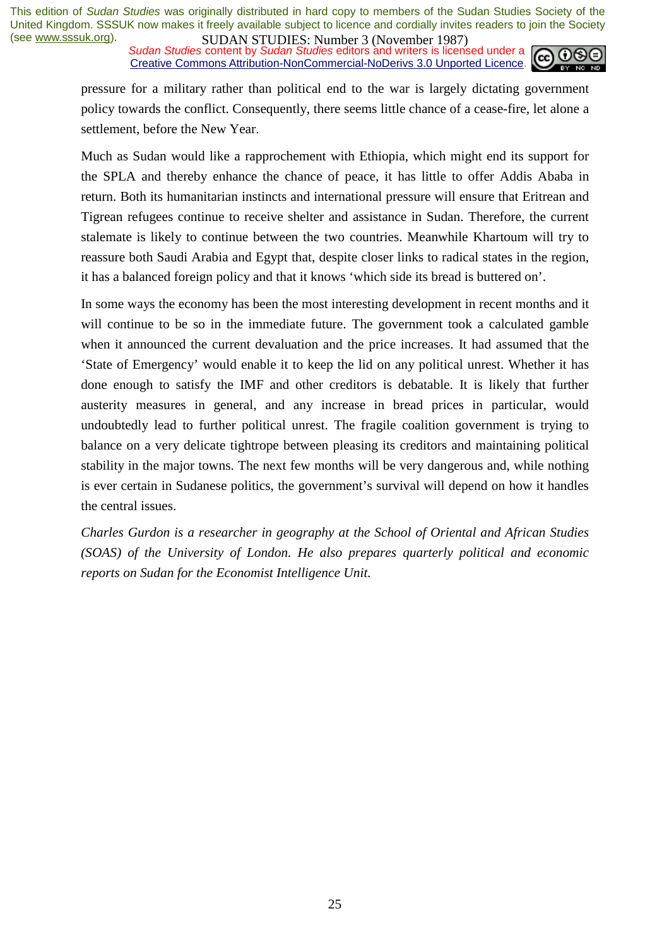*Sudan Studies content by Sudan Studies editors and writers is licensed under a* Creative Commons Attribution-NonCommercial-NoDerivs 3.0 Unported Licence.



pressure for a military rather than political end to the war is largely dictating government policy towards the conflict. Consequently, there seems little chance of a cease-fire, let alone a settlement, before the New Year.

Much as Sudan would like a rapprochement with Ethiopia, which might end its support for the SPLA and thereby enhance the chance of peace, it has little to offer Addis Ababa in return. Both its humanitarian instincts and international pressure will ensure that Eritrean and Tigrean refugees continue to receive shelter and assistance in Sudan. Therefore, the current stalemate is likely to continue between the two countries. Meanwhile Khartoum will try to reassure both Saudi Arabia and Egypt that, despite closer links to radical states in the region, it has a balanced foreign policy and that it knows 'which side its bread is buttered on'.

In some ways the economy has been the most interesting development in recent months and it will continue to be so in the immediate future. The government took a calculated gamble when it announced the current devaluation and the price increases. It had assumed that the 'State of Emergency' would enable it to keep the lid on any political unrest. Whether it has done enough to satisfy the IMF and other creditors is debatable. It is likely that further austerity measures in general, and any increase in bread prices in particular, would undoubtedly lead to further political unrest. The fragile coalition government is trying to balance on a very delicate tightrope between pleasing its creditors and maintaining political stability in the major towns. The next few months will be very dangerous and, while nothing is ever certain in Sudanese politics, the government's survival will depend on how it handles the central issues.

*Charles Gurdon is a researcher in geography at the School of Oriental and African Studies (SOAS) of the University of London. He also prepares quarterly political and economic reports on Sudan for the Economist Intelligence Unit.*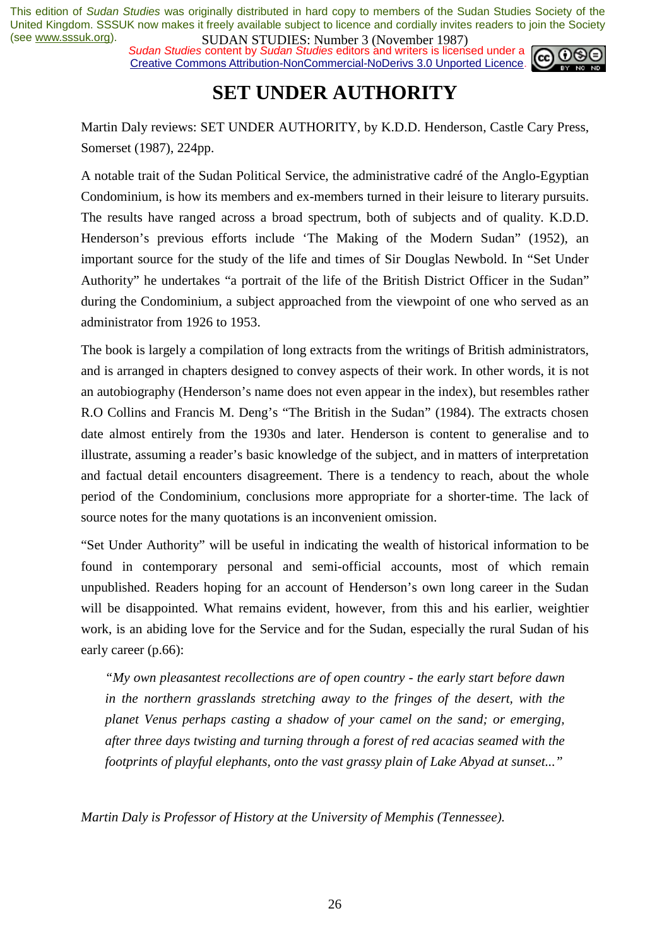*Sudan Studies content by Sudan Studies editors and writers is licensed under a* Creative Commons Attribution-NonCommercial-NoDerivs 3.0 Unported Licence.



### **SET UNDER AUTHORITY**

Martin Daly reviews: SET UNDER AUTHORITY, by K.D.D. Henderson, Castle Cary Press, Somerset (1987), 224pp.

A notable trait of the Sudan Political Service, the administrative cadré of the Anglo-Egyptian Condominium, is how its members and ex-members turned in their leisure to literary pursuits. The results have ranged across a broad spectrum, both of subjects and of quality. K.D.D. Henderson's previous efforts include 'The Making of the Modern Sudan" (1952), an important source for the study of the life and times of Sir Douglas Newbold. In "Set Under Authority" he undertakes "a portrait of the life of the British District Officer in the Sudan" during the Condominium, a subject approached from the viewpoint of one who served as an administrator from 1926 to 1953.

The book is largely a compilation of long extracts from the writings of British administrators, and is arranged in chapters designed to convey aspects of their work. In other words, it is not an autobiography (Henderson's name does not even appear in the index), but resembles rather R.O Collins and Francis M. Deng's "The British in the Sudan" (1984). The extracts chosen date almost entirely from the 1930s and later. Henderson is content to generalise and to illustrate, assuming a reader's basic knowledge of the subject, and in matters of interpretation and factual detail encounters disagreement. There is a tendency to reach, about the whole period of the Condominium, conclusions more appropriate for a shorter-time. The lack of source notes for the many quotations is an inconvenient omission.

"Set Under Authority" will be useful in indicating the wealth of historical information to be found in contemporary personal and semi-official accounts, most of which remain unpublished. Readers hoping for an account of Henderson's own long career in the Sudan will be disappointed. What remains evident, however, from this and his earlier, weightier work, is an abiding love for the Service and for the Sudan, especially the rural Sudan of his early career (p.66):

*"My own pleasantest recollections are of open country - the early start before dawn in the northern grasslands stretching away to the fringes of the desert, with the planet Venus perhaps casting a shadow of your camel on the sand; or emerging, after three days twisting and turning through a forest of red acacias seamed with the footprints of playful elephants, onto the vast grassy plain of Lake Abyad at sunset..."* 

*Martin Daly is Professor of History at the University of Memphis (Tennessee).*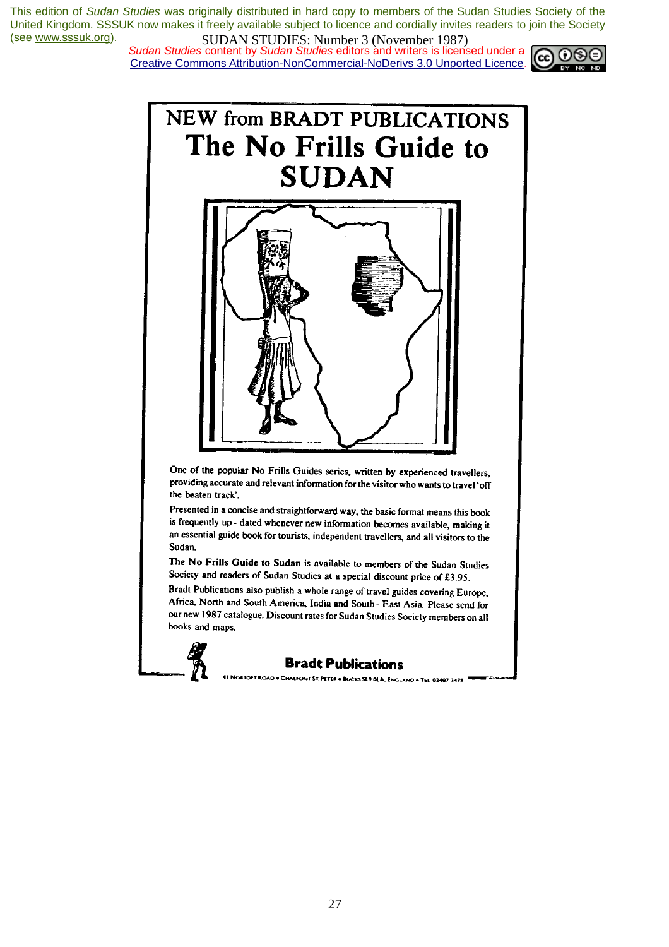*Sudan Studies content by Sudan Studies editors and writers is licensed under a* Creative Commons Attribution-NonCommercial-NoDerivs 3.0 Unported Licence.





One of the popular No Frills Guides series, written by experienced travellers, providing accurate and relevant information for the visitor who wants to travel'off the beaten track'.

Presented in a concise and straightforward way, the basic format means this book is frequently up - dated whenever new information becomes available, making it an essential guide book for tourists, independent travellers, and all visitors to the Sudan

The No Frills Guide to Sudan is available to members of the Sudan Studies Society and readers of Sudan Studies at a special discount price of £3.95.

Bradt Publications also publish a whole range of travel guides covering Europe, Africa, North and South America, India and South - East Asia, Please send for our new 1987 catalogue. Discount rates for Sudan Studies Society members on all books and maps.



#### **Bradt Publications**

.<br>DAD = CHALFONT ST. PETER = BUCKS SL9 OLA, ENGLAND = TEL 02407 3478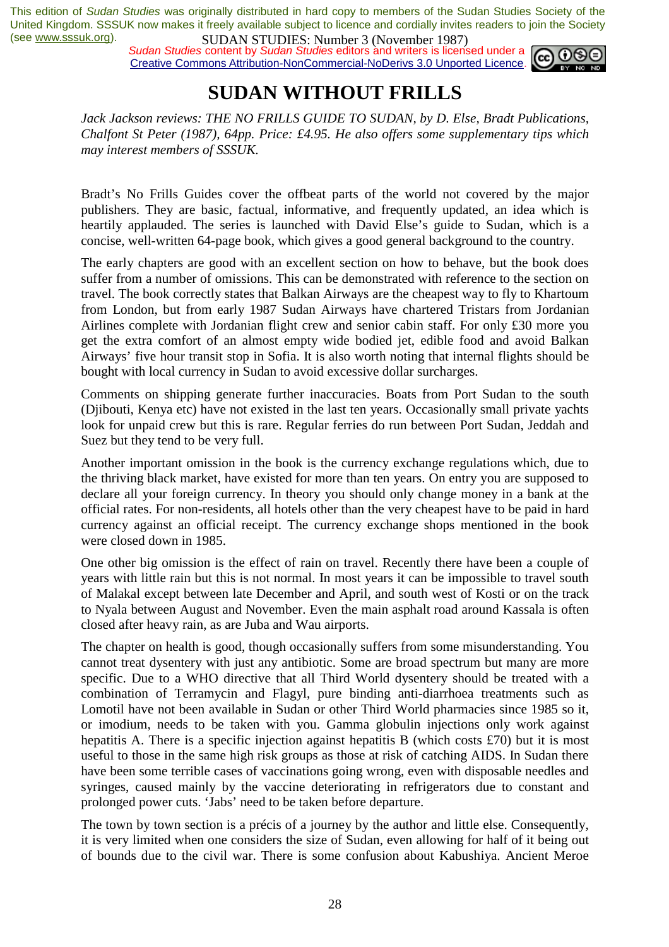*Sudan Studies* content by *Sudan Studies* editors and writers is licensed under a Creative Commons Attribution-NonCommercial-NoDerivs 3.0 Unported Licence.



# **SUDAN WITHOUT FRILLS**

*Jack Jackson reviews: THE NO FRILLS GUIDE TO SUDAN, by D. Else, Bradt Publications, Chalfont St Peter (1987), 64pp. Price: £4.95. He also offers some supplementary tips which may interest members of SSSUK.* 

Bradt's No Frills Guides cover the offbeat parts of the world not covered by the major publishers. They are basic, factual, informative, and frequently updated, an idea which is heartily applauded. The series is launched with David Else's guide to Sudan, which is a concise, well-written 64-page book, which gives a good general background to the country.

The early chapters are good with an excellent section on how to behave, but the book does suffer from a number of omissions. This can be demonstrated with reference to the section on travel. The book correctly states that Balkan Airways are the cheapest way to fly to Khartoum from London, but from early 1987 Sudan Airways have chartered Tristars from Jordanian Airlines complete with Jordanian flight crew and senior cabin staff. For only £30 more you get the extra comfort of an almost empty wide bodied jet, edible food and avoid Balkan Airways' five hour transit stop in Sofia. It is also worth noting that internal flights should be bought with local currency in Sudan to avoid excessive dollar surcharges.

Comments on shipping generate further inaccuracies. Boats from Port Sudan to the south (Djibouti, Kenya etc) have not existed in the last ten years. Occasionally small private yachts look for unpaid crew but this is rare. Regular ferries do run between Port Sudan, Jeddah and Suez but they tend to be very full.

Another important omission in the book is the currency exchange regulations which, due to the thriving black market, have existed for more than ten years. On entry you are supposed to declare all your foreign currency. In theory you should only change money in a bank at the official rates. For non-residents, all hotels other than the very cheapest have to be paid in hard currency against an official receipt. The currency exchange shops mentioned in the book were closed down in 1985.

One other big omission is the effect of rain on travel. Recently there have been a couple of years with little rain but this is not normal. In most years it can be impossible to travel south of Malakal except between late December and April, and south west of Kosti or on the track to Nyala between August and November. Even the main asphalt road around Kassala is often closed after heavy rain, as are Juba and Wau airports.

The chapter on health is good, though occasionally suffers from some misunderstanding. You cannot treat dysentery with just any antibiotic. Some are broad spectrum but many are more specific. Due to a WHO directive that all Third World dysentery should be treated with a combination of Terramycin and Flagyl, pure binding anti-diarrhoea treatments such as Lomotil have not been available in Sudan or other Third World pharmacies since 1985 so it, or imodium, needs to be taken with you. Gamma globulin injections only work against hepatitis A. There is a specific injection against hepatitis B (which costs £70) but it is most useful to those in the same high risk groups as those at risk of catching AIDS. In Sudan there have been some terrible cases of vaccinations going wrong, even with disposable needles and syringes, caused mainly by the vaccine deteriorating in refrigerators due to constant and prolonged power cuts. 'Jabs' need to be taken before departure.

The town by town section is a précis of a journey by the author and little else. Consequently, it is very limited when one considers the size of Sudan, even allowing for half of it being out of bounds due to the civil war. There is some confusion about Kabushiya. Ancient Meroe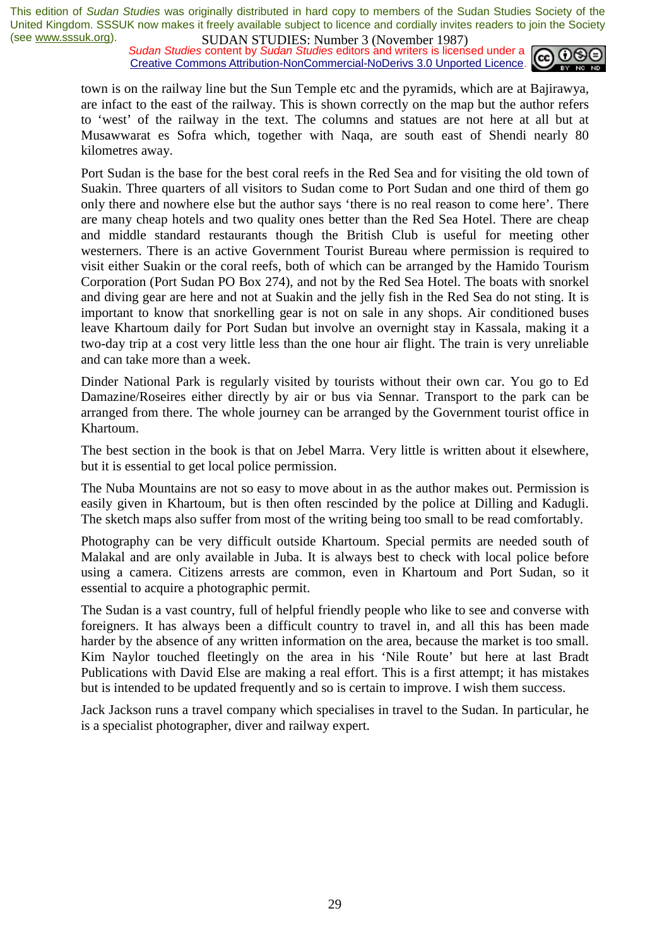*Sudan Studies* content by *Sudan Studies* editors and writers is licensed under a Creative Commons Attribution-NonCommercial-NoDerivs 3.0 Unported Licence.



town is on the railway line but the Sun Temple etc and the pyramids, which are at Bajirawya, are infact to the east of the railway. This is shown correctly on the map but the author refers to 'west' of the railway in the text. The columns and statues are not here at all but at Musawwarat es Sofra which, together with Naqa, are south east of Shendi nearly 80 kilometres away.

Port Sudan is the base for the best coral reefs in the Red Sea and for visiting the old town of Suakin. Three quarters of all visitors to Sudan come to Port Sudan and one third of them go only there and nowhere else but the author says 'there is no real reason to come here'. There are many cheap hotels and two quality ones better than the Red Sea Hotel. There are cheap and middle standard restaurants though the British Club is useful for meeting other westerners. There is an active Government Tourist Bureau where permission is required to visit either Suakin or the coral reefs, both of which can be arranged by the Hamido Tourism Corporation (Port Sudan PO Box 274), and not by the Red Sea Hotel. The boats with snorkel and diving gear are here and not at Suakin and the jelly fish in the Red Sea do not sting. It is important to know that snorkelling gear is not on sale in any shops. Air conditioned buses leave Khartoum daily for Port Sudan but involve an overnight stay in Kassala, making it a two-day trip at a cost very little less than the one hour air flight. The train is very unreliable and can take more than a week.

Dinder National Park is regularly visited by tourists without their own car. You go to Ed Damazine/Roseires either directly by air or bus via Sennar. Transport to the park can be arranged from there. The whole journey can be arranged by the Government tourist office in Khartoum.

The best section in the book is that on Jebel Marra. Very little is written about it elsewhere, but it is essential to get local police permission.

The Nuba Mountains are not so easy to move about in as the author makes out. Permission is easily given in Khartoum, but is then often rescinded by the police at Dilling and Kadugli. The sketch maps also suffer from most of the writing being too small to be read comfortably.

Photography can be very difficult outside Khartoum. Special permits are needed south of Malakal and are only available in Juba. It is always best to check with local police before using a camera. Citizens arrests are common, even in Khartoum and Port Sudan, so it essential to acquire a photographic permit.

The Sudan is a vast country, full of helpful friendly people who like to see and converse with foreigners. It has always been a difficult country to travel in, and all this has been made harder by the absence of any written information on the area, because the market is too small. Kim Naylor touched fleetingly on the area in his 'Nile Route' but here at last Bradt Publications with David Else are making a real effort. This is a first attempt; it has mistakes but is intended to be updated frequently and so is certain to improve. I wish them success.

Jack Jackson runs a travel company which specialises in travel to the Sudan. In particular, he is a specialist photographer, diver and railway expert.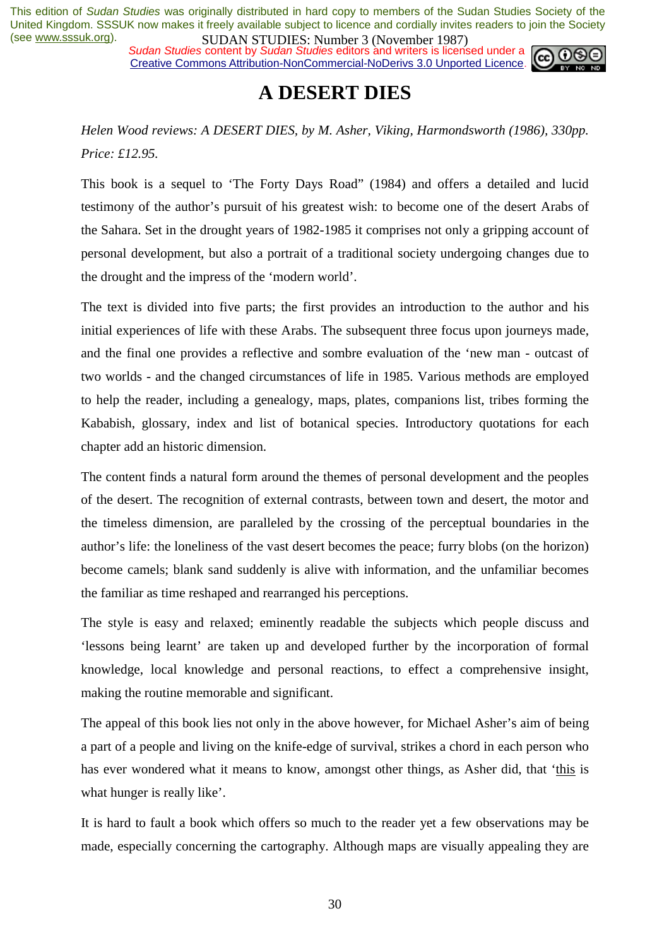*Sudan Studies content by Sudan Studies editors and writers is licensed under a* Creative Commons Attribution-NonCommercial-NoDerivs 3.0 Unported Licence.



### **A DESERT DIES**

*Helen Wood reviews: A DESERT DIES, by M. Asher, Viking, Harmondsworth (1986), 330pp. Price: £12.95.* 

This book is a sequel to 'The Forty Days Road" (1984) and offers a detailed and lucid testimony of the author's pursuit of his greatest wish: to become one of the desert Arabs of the Sahara. Set in the drought years of 1982-1985 it comprises not only a gripping account of personal development, but also a portrait of a traditional society undergoing changes due to the drought and the impress of the 'modern world'.

The text is divided into five parts; the first provides an introduction to the author and his initial experiences of life with these Arabs. The subsequent three focus upon journeys made, and the final one provides a reflective and sombre evaluation of the 'new man - outcast of two worlds - and the changed circumstances of life in 1985. Various methods are employed to help the reader, including a genealogy, maps, plates, companions list, tribes forming the Kababish, glossary, index and list of botanical species. Introductory quotations for each chapter add an historic dimension.

The content finds a natural form around the themes of personal development and the peoples of the desert. The recognition of external contrasts, between town and desert, the motor and the timeless dimension, are paralleled by the crossing of the perceptual boundaries in the author's life: the loneliness of the vast desert becomes the peace; furry blobs (on the horizon) become camels; blank sand suddenly is alive with information, and the unfamiliar becomes the familiar as time reshaped and rearranged his perceptions.

The style is easy and relaxed; eminently readable the subjects which people discuss and 'lessons being learnt' are taken up and developed further by the incorporation of formal knowledge, local knowledge and personal reactions, to effect a comprehensive insight, making the routine memorable and significant.

The appeal of this book lies not only in the above however, for Michael Asher's aim of being a part of a people and living on the knife-edge of survival, strikes a chord in each person who has ever wondered what it means to know, amongst other things, as Asher did, that 'this is what hunger is really like'.

It is hard to fault a book which offers so much to the reader yet a few observations may be made, especially concerning the cartography. Although maps are visually appealing they are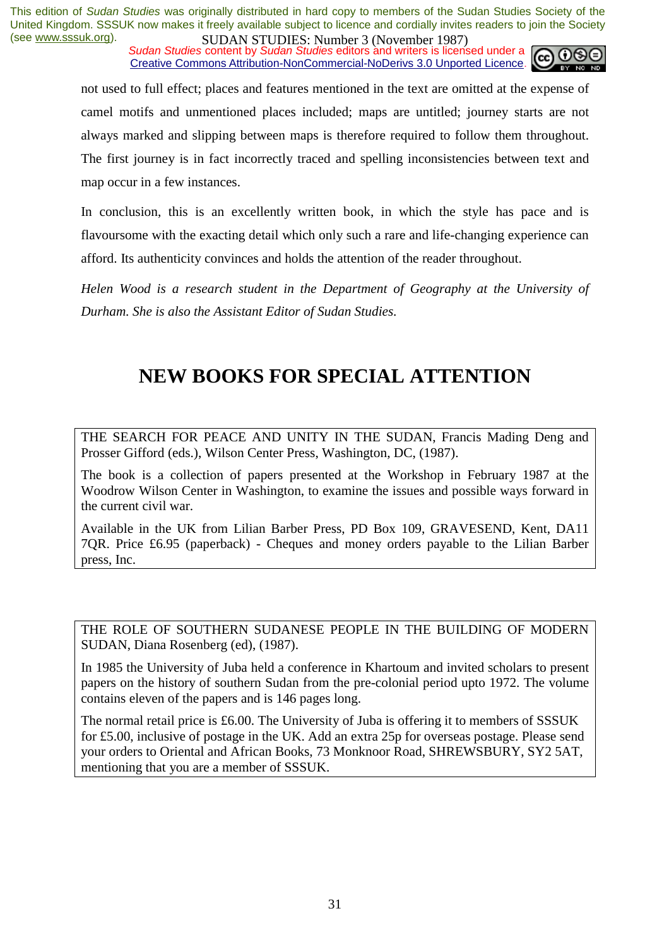**SUDAN STUDIES:** NUTTER JUNIVERSE 2014 1207, Sudan Studies content by *Sudan Studies* editors and writers is licensed under a Creative Commons Attribution-NonCommercial-NoDerivs 3.0 Unported Licence.



not used to full effect; places and features mentioned in the text are omitted at the expense of camel motifs and unmentioned places included; maps are untitled; journey starts are not always marked and slipping between maps is therefore required to follow them throughout. The first journey is in fact incorrectly traced and spelling inconsistencies between text and map occur in a few instances.

In conclusion, this is an excellently written book, in which the style has pace and is flavoursome with the exacting detail which only such a rare and life-changing experience can afford. Its authenticity convinces and holds the attention of the reader throughout.

*Helen Wood is a research student in the Department of Geography at the University of Durham. She is also the Assistant Editor of Sudan Studies.* 

# **NEW BOOKS FOR SPECIAL ATTENTION**

THE SEARCH FOR PEACE AND UNITY IN THE SUDAN, Francis Mading Deng and Prosser Gifford (eds.), Wilson Center Press, Washington, DC, (1987).

The book is a collection of papers presented at the Workshop in February 1987 at the Woodrow Wilson Center in Washington, to examine the issues and possible ways forward in the current civil war.

Available in the UK from Lilian Barber Press, PD Box 109, GRAVESEND, Kent, DA11 7QR. Price £6.95 (paperback) - Cheques and money orders payable to the Lilian Barber press, Inc.

THE ROLE OF SOUTHERN SUDANESE PEOPLE IN THE BUILDING OF MODERN SUDAN, Diana Rosenberg (ed), (1987).

In 1985 the University of Juba held a conference in Khartoum and invited scholars to present papers on the history of southern Sudan from the pre-colonial period upto 1972. The volume contains eleven of the papers and is 146 pages long.

The normal retail price is £6.00. The University of Juba is offering it to members of SSSUK for £5.00, inclusive of postage in the UK. Add an extra 25p for overseas postage. Please send your orders to Oriental and African Books, 73 Monknoor Road, SHREWSBURY, SY2 5AT, mentioning that you are a member of SSSUK.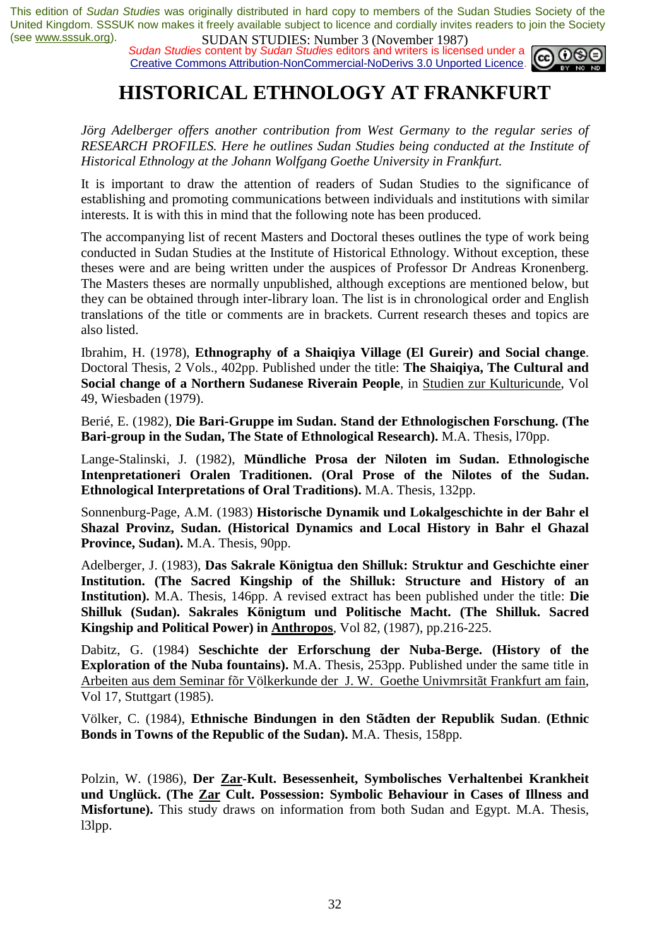**SUDAN STUDIES:** Number 3 (November 1707)<br>*Sudan Studies* content by *Sudan Studies* editors and writers is licensed under a Creative Commons Attribution-NonCommercial-NoDerivs 3.0 Unported Licence.



### **HISTORICAL ETHNOLOGY AT FRANKFURT**

*Jörg Adelberger offers another contribution from West Germany to the regular series of RESEARCH PROFILES. Here he outlines Sudan Studies being conducted at the Institute of Historical Ethnology at the Johann Wolfgang Goethe University in Frankfurt.* 

It is important to draw the attention of readers of Sudan Studies to the significance of establishing and promoting communications between individuals and institutions with similar interests. It is with this in mind that the following note has been produced.

The accompanying list of recent Masters and Doctoral theses outlines the type of work being conducted in Sudan Studies at the Institute of Historical Ethnology. Without exception, these theses were and are being written under the auspices of Professor Dr Andreas Kronenberg. The Masters theses are normally unpublished, although exceptions are mentioned below, but they can be obtained through inter-library loan. The list is in chronological order and English translations of the title or comments are in brackets. Current research theses and topics are also listed.

Ibrahim, H. (1978), **Ethnography of a Shaiqiya Village (El Gureir) and Social change**. Doctoral Thesis, 2 Vols., 402pp. Published under the title: **The Shaiqiya, The Cultural and Social change of a Northern Sudanese Riverain People**, in Studien zur Kulturicunde, Vol 49, Wiesbaden (1979).

Berié, E. (1982), **Die Bari-Gruppe im Sudan. Stand der Ethnologischen Forschung. (The Bari-group in the Sudan, The State of Ethnological Research).** M.A. Thesis, l70pp.

Lange-Stalinski, J*.* (1982), **Mündliche Prosa der Niloten im Sudan. Ethnologische Intenpretationeri Oralen Traditionen. (Oral Prose of the Nilotes of the Sudan. Ethnological Interpretations of Oral Traditions).** M.A. Thesis, 132pp.

Sonnenburg-Page, A.M. (1983) **Historische Dynamik und Lokalgeschichte in der Bahr el Shazal Provinz, Sudan. (Historical Dynamics and Local History in Bahr el Ghazal Province, Sudan).** M.A. Thesis, 90pp.

Adelberger, J. (1983), **Das Sakrale Königtua den Shilluk: Struktur and Geschichte einer Institution. (The Sacred Kingship of the Shilluk: Structure and History of an Institution).** M.A. Thesis, 146pp. A revised extract has been published under the title: **Die Shilluk (Sudan). Sakrales Königtum und Politische Macht. (The Shilluk. Sacred Kingship and Political Power) in Anthropos**, Vol 82, (1987), pp.216-225.

Dabitz, G. (1984) **Seschichte der Erforschung der Nuba-Berge. (History of the Exploration of the Nuba fountains).** M.A. Thesis, 253pp. Published under the same title in Arbeiten aus dem Seminar fõr Völkerkunde der J. W. Goethe Univmrsitãt Frankfurt am fain, Vol 17, Stuttgart (1985).

Völker, C. (1984), **Ethnische Bindungen in den Stãdten der Republik Sudan**. **(Ethnic Bonds in Towns of the Republic of the Sudan).** M.A. Thesis, 158pp.

Polzin, W. (1986), **Der Zar-Kult. Besessenheit, Symbolisches Verhaltenbei Krankheit und Unglück. (The Zar Cult. Possession: Symbolic Behaviour in Cases of Illness and Misfortune).** This study draws on information from both Sudan and Egypt. M.A. Thesis, l3lpp.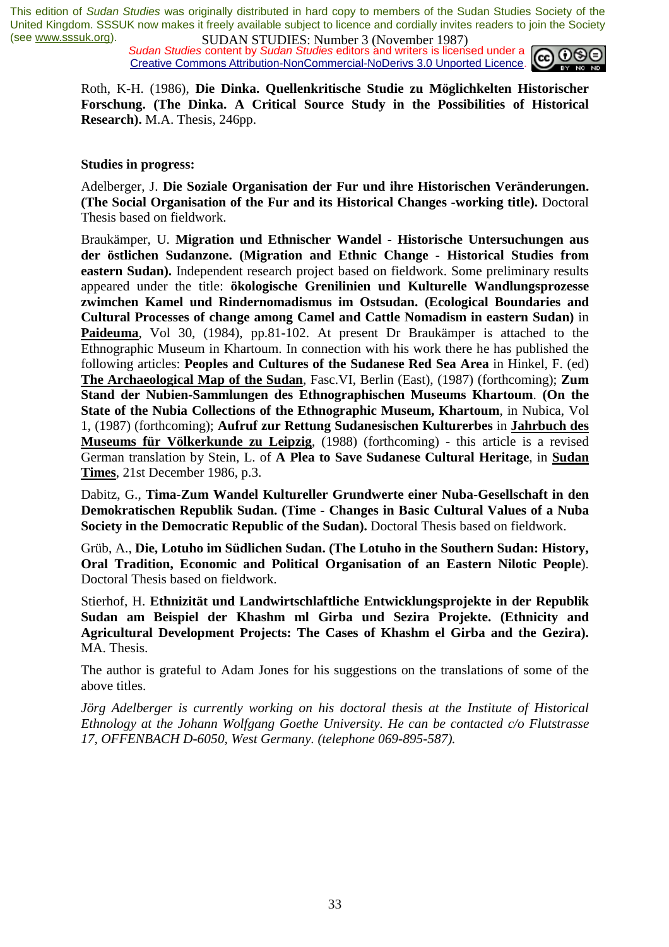**SUDAN STUDIES:** NUTTUP 3 (NOVERTON 1707)<br>*Sudan Studies* content by *Sudan Studies* editors and writers is licensed under a Creative Commons Attribution-NonCommercial-NoDerivs 3.0 Unported Licence.



Roth, K-H. (1986), **Die Dinka. Quellenkritische Studie zu Möglichkelten Historischer Forschung. (The Dinka. A Critical Source Study in the Possibilities of Historical Research).** M.A. Thesis, 246pp.

#### **Studies in progress:**

Adelberger, J. **Die Soziale Organisation der Fur und ihre Historischen Veränderungen. (The Social Organisation of the Fur and its Historical Changes -working title).** Doctoral Thesis based on fieldwork.

Braukämper, U. **Migration und Ethnischer Wandel - Historische Untersuchungen aus der östlichen Sudanzone. (Migration and Ethnic Change - Historical Studies from eastern Sudan).** Independent research project based on fieldwork. Some preliminary results appeared under the title: **ökologische Grenilinien und Kulturelle Wandlungsprozesse zwimchen Kamel und Rindernomadismus im Ostsudan. (Ecological Boundaries and Cultural Processes of change among Camel and Cattle Nomadism in eastern Sudan)** in **Paideuma**, Vol 30, (1984), pp.81-102. At present Dr Braukämper is attached to the Ethnographic Museum in Khartoum. In connection with his work there he has published the following articles: **Peoples and Cultures of the Sudanese Red Sea Area** in Hinkel, F. (ed) **The Archaeological Map of the Sudan**, Fasc.VI, Berlin (East), (1987) (forthcoming); **Zum Stand der Nubien-Sammlungen des Ethnographischen Museums Khartoum**. **(On the State of the Nubia Collections of the Ethnographic Museum, Khartoum**, in Nubica, Vol 1, (1987) (forthcoming); **Aufruf zur Rettung Sudanesischen Kulturerbes** in **Jahrbuch des Museums für Völkerkunde zu Leipzig**, (1988) (forthcoming) - this article is a revised German translation by Stein, L. of **A Plea to Save Sudanese Cultural Heritage**, in **Sudan Times**, 21st December 1986, p.3.

Dabitz, G., **Tima-Zum Wandel Kultureller Grundwerte einer Nuba-Gesellschaft in den Demokratischen Republik Sudan. (Time - Changes in Basic Cultural Values of a Nuba Society in the Democratic Republic of the Sudan).** Doctoral Thesis based on fieldwork.

Grüb, A., **Die, Lotuho im Südlichen Sudan. (The Lotuho in the Southern Sudan: History, Oral Tradition, Economic and Political Organisation of an Eastern Nilotic People**). Doctoral Thesis based on fieldwork.

Stierhof, H. **Ethnizität und Landwirtschlaftliche Entwicklungsprojekte in der Republik Sudan am Beispiel der Khashm ml Girba und Sezira Projekte. (Ethnicity and Agricultural Development Projects: The Cases of Khashm el Girba and the Gezira).** MA. Thesis.

The author is grateful to Adam Jones for his suggestions on the translations of some of the above titles.

*Jörg Adelberger is currently working on his doctoral thesis at the Institute of Historical Ethnology at the Johann Wolfgang Goethe University. He can be contacted c/o Flutstrasse 17, OFFENBACH D-6050, West Germany. (telephone 069-895-587).*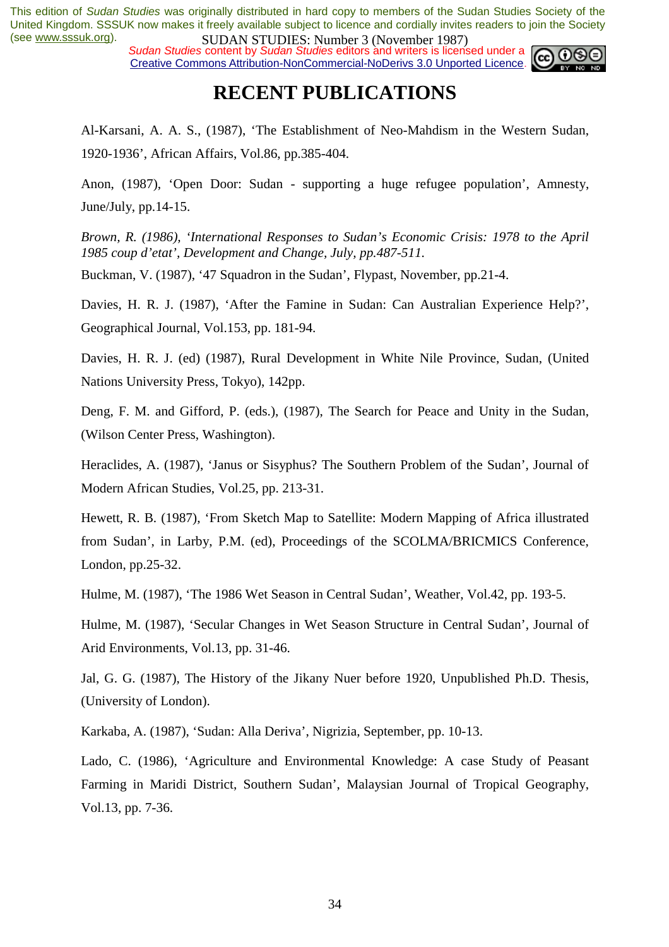*Sudan Studies content by Sudan Studies editors and writers is licensed under a* Creative Commons Attribution-NonCommercial-NoDerivs 3.0 Unported Licence.



### **RECENT PUBLICATIONS**

Al-Karsani, A. A. S., (1987), 'The Establishment of Neo-Mahdism in the Western Sudan, 1920-1936', African Affairs, Vol.86, pp.385-404.

Anon, (1987), 'Open Door: Sudan - supporting a huge refugee population', Amnesty, June/July, pp.14-15.

*Brown, R. (1986), 'International Responses to Sudan's Economic Crisis: 1978 to the April 1985 coup d'etat', Development and Change, July, pp.487-511.* 

Buckman, V. (1987), '47 Squadron in the Sudan', Flypast, November, pp.21-4.

Davies, H. R. J. (1987), 'After the Famine in Sudan: Can Australian Experience Help?', Geographical Journal, Vol.153, pp. 181-94.

Davies, H. R. J. (ed) (1987), Rural Development in White Nile Province, Sudan, (United Nations University Press, Tokyo), 142pp.

Deng, F. M. and Gifford, P. (eds.), (1987), The Search for Peace and Unity in the Sudan, (Wilson Center Press, Washington).

Heraclides, A. (1987), 'Janus or Sisyphus? The Southern Problem of the Sudan', Journal of Modern African Studies, Vol.25, pp. 213-31.

Hewett, R. B. (1987), 'From Sketch Map to Satellite: Modern Mapping of Africa illustrated from Sudan', in Larby, P.M. (ed), Proceedings of the SCOLMA/BRICMICS Conference, London, pp.25-32.

Hulme, M. (1987), 'The 1986 Wet Season in Central Sudan', Weather, Vol.42, pp. 193-5.

Hulme, M. (1987), 'Secular Changes in Wet Season Structure in Central Sudan', Journal of Arid Environments, Vol.13, pp. 31-46.

Jal, G. G. (1987), The History of the Jikany Nuer before 1920, Unpublished Ph.D. Thesis, (University of London).

Karkaba, A. (1987), 'Sudan: Alla Deriva', Nigrizia, September, pp. 10-13.

Lado, C. (1986), 'Agriculture and Environmental Knowledge: A case Study of Peasant Farming in Maridi District, Southern Sudan', Malaysian Journal of Tropical Geography, Vol.13, pp. 7-36.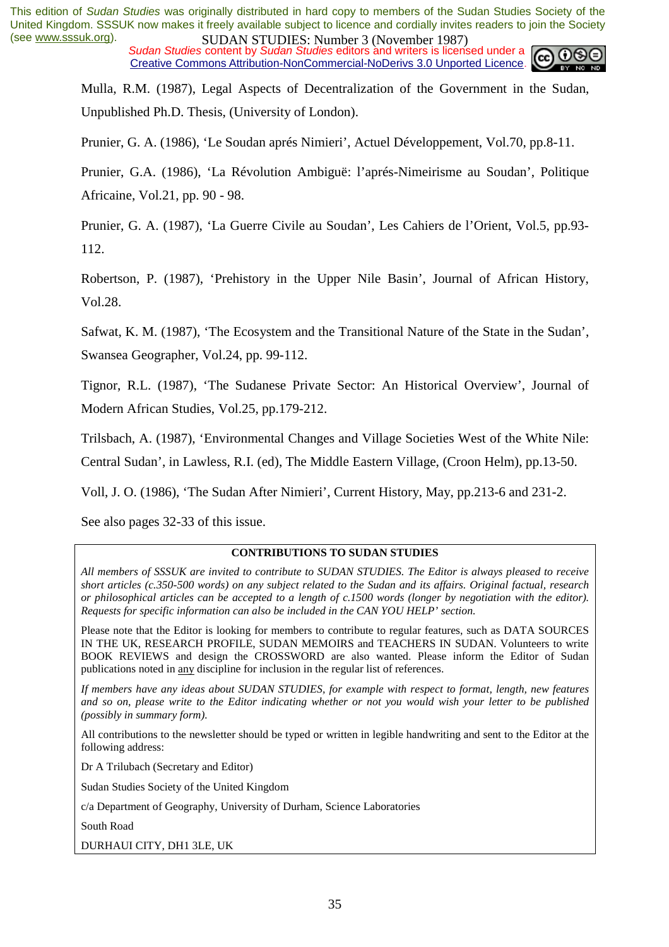*Sudan Studies* content by *Sudan Studies* editors and writers is licensed under a Creative Commons Attribution-NonCommercial-NoDerivs 3.0 Unported Licence.



Mulla, R.M. (1987), Legal Aspects of Decentralization of the Government in the Sudan, Unpublished Ph.D. Thesis, (University of London).

Prunier, G. A. (1986), 'Le Soudan aprés Nimieri', Actuel Développement, Vol.70, pp.8-11.

Prunier, G.A. (1986), 'La Révolution Ambiguë: l'aprés-Nimeirisme au Soudan', Politique Africaine, Vol.21, pp. 90 - 98.

Prunier, G. A. (1987), 'La Guerre Civile au Soudan', Les Cahiers de l'Orient, Vol.5, pp.93- 112.

Robertson, P. (1987), 'Prehistory in the Upper Nile Basin', Journal of African History, Vol.28.

Safwat, K. M. (1987), 'The Ecosystem and the Transitional Nature of the State in the Sudan', Swansea Geographer, Vol.24, pp. 99-112.

Tignor, R.L. (1987), 'The Sudanese Private Sector: An Historical Overview', Journal of Modern African Studies, Vol.25, pp.179-212.

Trilsbach, A. (1987), 'Environmental Changes and Village Societies West of the White Nile:

Central Sudan', in Lawless, R.I. (ed), The Middle Eastern Village, (Croon Helm), pp.13-50.

Voll, J. O. (1986), 'The Sudan After Nimieri', Current History, May, pp.213-6 and 231-2.

See also pages 32-33 of this issue.

#### **CONTRIBUTIONS TO SUDAN STUDIES**

*All members of SSSUK are invited to contribute to SUDAN STUDIES. The Editor is always pleased to receive short articles (c.350-500 words) on any subject related to the Sudan and its affairs. Original factual, research or philosophical articles can be accepted to a length of c.1500 words (longer by negotiation with the editor). Requests for specific information can also be included in the CAN YOU HELP' section.* 

Please note that the Editor is looking for members to contribute to regular features, such as DATA SOURCES IN THE UK, RESEARCH PROFILE, SUDAN MEMOIRS and TEACHERS IN SUDAN. Volunteers to write BOOK REVIEWS and design the CROSSWORD are also wanted. Please inform the Editor of Sudan publications noted in any discipline for inclusion in the regular list of references.

*If members have any ideas about SUDAN STUDIES, for example with respect to format, length, new features and so on, please write to the Editor indicating whether or not you would wish your letter to be published (possibly in summary form).* 

All contributions to the newsletter should be typed or written in legible handwriting and sent to the Editor at the following address:

Dr A Trilubach (Secretary and Editor)

Sudan Studies Society of the United Kingdom

c/a Department of Geography, University of Durham, Science Laboratories

South Road

DURHAUI CITY, DH1 3LE, UK